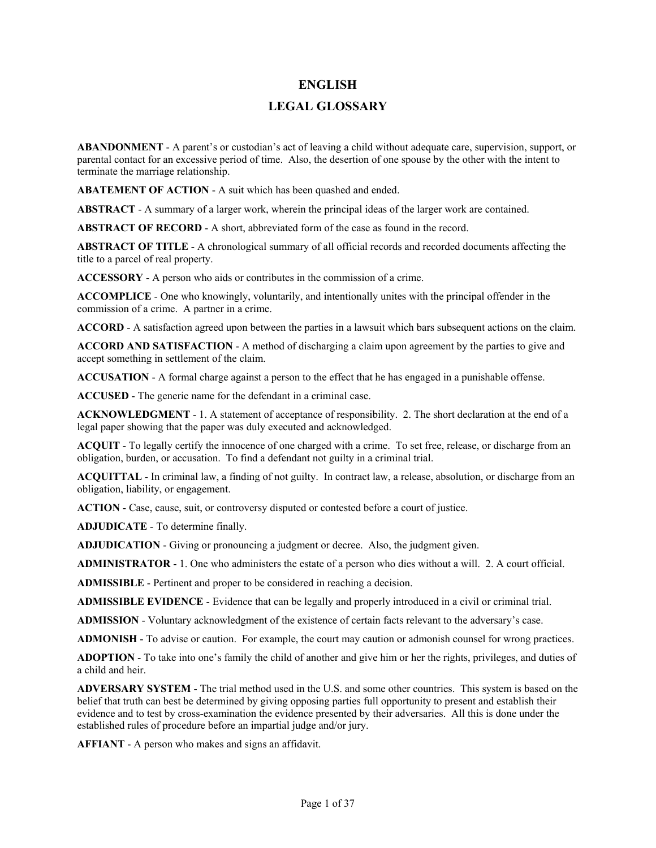## **ENGLISH**

## **LEGAL GLOSSARY**

**ABANDONMENT** - A parent's or custodian's act of leaving a child without adequate care, supervision, support, or parental contact for an excessive period of time. Also, the desertion of one spouse by the other with the intent to terminate the marriage relationship.

**ABATEMENT OF ACTION** - A suit which has been quashed and ended.

**ABSTRACT** - A summary of a larger work, wherein the principal ideas of the larger work are contained.

**ABSTRACT OF RECORD** - A short, abbreviated form of the case as found in the record.

**ABSTRACT OF TITLE** - A chronological summary of all official records and recorded documents affecting the title to a parcel of real property.

**ACCESSORY** - A person who aids or contributes in the commission of a crime.

**ACCOMPLICE** - One who knowingly, voluntarily, and intentionally unites with the principal offender in the commission of a crime. A partner in a crime.

**ACCORD** - A satisfaction agreed upon between the parties in a lawsuit which bars subsequent actions on the claim.

**ACCORD AND SATISFACTION** - A method of discharging a claim upon agreement by the parties to give and accept something in settlement of the claim.

**ACCUSATION** - A formal charge against a person to the effect that he has engaged in a punishable offense.

**ACCUSED** - The generic name for the defendant in a criminal case.

**ACKNOWLEDGMENT** - 1. A statement of acceptance of responsibility. 2. The short declaration at the end of a legal paper showing that the paper was duly executed and acknowledged.

**ACQUIT** - To legally certify the innocence of one charged with a crime. To set free, release, or discharge from an obligation, burden, or accusation. To find a defendant not guilty in a criminal trial.

**ACQUITTAL** - In criminal law, a finding of not guilty. In contract law, a release, absolution, or discharge from an obligation, liability, or engagement.

**ACTION** - Case, cause, suit, or controversy disputed or contested before a court of justice.

**ADJUDICATE** - To determine finally.

**ADJUDICATION** - Giving or pronouncing a judgment or decree. Also, the judgment given.

**ADMINISTRATOR** - 1. One who administers the estate of a person who dies without a will. 2. A court official.

**ADMISSIBLE** - Pertinent and proper to be considered in reaching a decision.

**ADMISSIBLE EVIDENCE** - Evidence that can be legally and properly introduced in a civil or criminal trial.

**ADMISSION** - Voluntary acknowledgment of the existence of certain facts relevant to the adversary's case.

**ADMONISH** - To advise or caution. For example, the court may caution or admonish counsel for wrong practices.

**ADOPTION** - To take into one's family the child of another and give him or her the rights, privileges, and duties of a child and heir.

**ADVERSARY SYSTEM** - The trial method used in the U.S. and some other countries. This system is based on the belief that truth can best be determined by giving opposing parties full opportunity to present and establish their evidence and to test by cross-examination the evidence presented by their adversaries. All this is done under the established rules of procedure before an impartial judge and/or jury.

**AFFIANT** - A person who makes and signs an affidavit.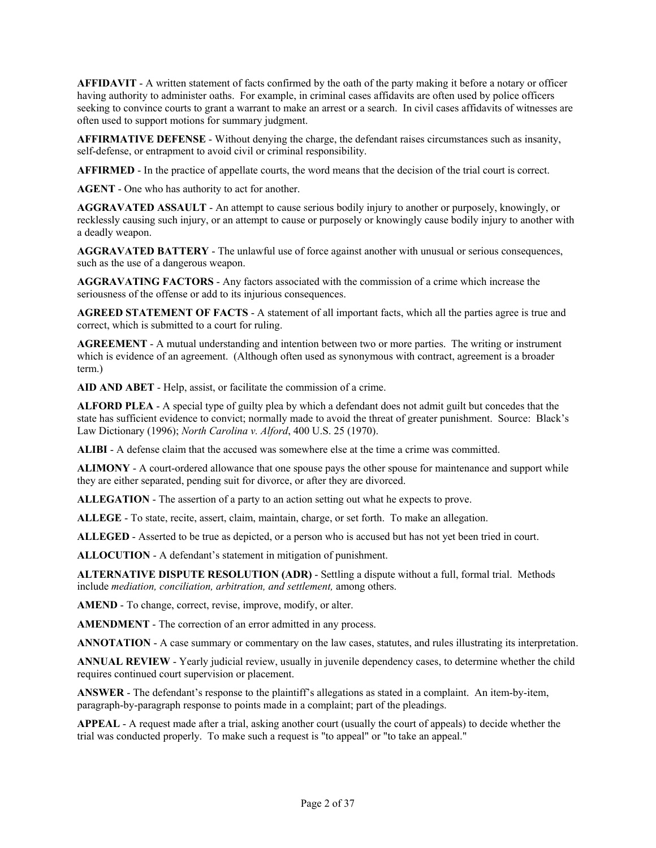**AFFIDAVIT** - A written statement of facts confirmed by the oath of the party making it before a notary or officer having authority to administer oaths. For example, in criminal cases affidavits are often used by police officers seeking to convince courts to grant a warrant to make an arrest or a search. In civil cases affidavits of witnesses are often used to support motions for summary judgment.

**AFFIRMATIVE DEFENSE** - Without denying the charge, the defendant raises circumstances such as insanity, self-defense, or entrapment to avoid civil or criminal responsibility.

**AFFIRMED** - In the practice of appellate courts, the word means that the decision of the trial court is correct.

**AGENT** - One who has authority to act for another.

**AGGRAVATED ASSAULT** - An attempt to cause serious bodily injury to another or purposely, knowingly, or recklessly causing such injury, or an attempt to cause or purposely or knowingly cause bodily injury to another with a deadly weapon.

**AGGRAVATED BATTERY** - The unlawful use of force against another with unusual or serious consequences, such as the use of a dangerous weapon.

**AGGRAVATING FACTORS** - Any factors associated with the commission of a crime which increase the seriousness of the offense or add to its injurious consequences.

**AGREED STATEMENT OF FACTS** - A statement of all important facts, which all the parties agree is true and correct, which is submitted to a court for ruling.

**AGREEMENT** - A mutual understanding and intention between two or more parties. The writing or instrument which is evidence of an agreement. (Although often used as synonymous with contract, agreement is a broader term.)

**AID AND ABET** - Help, assist, or facilitate the commission of a crime.

**ALFORD PLEA** - A special type of guilty plea by which a defendant does not admit guilt but concedes that the state has sufficient evidence to convict; normally made to avoid the threat of greater punishment. Source: Black's Law Dictionary (1996); *North Carolina v. Alford*, 400 U.S. 25 (1970).

**ALIBI** - A defense claim that the accused was somewhere else at the time a crime was committed.

**ALIMONY** - A court-ordered allowance that one spouse pays the other spouse for maintenance and support while they are either separated, pending suit for divorce, or after they are divorced.

**ALLEGATION** - The assertion of a party to an action setting out what he expects to prove.

**ALLEGE** - To state, recite, assert, claim, maintain, charge, or set forth. To make an allegation.

**ALLEGED** - Asserted to be true as depicted, or a person who is accused but has not yet been tried in court.

**ALLOCUTION** - A defendant's statement in mitigation of punishment.

**ALTERNATIVE DISPUTE RESOLUTION (ADR)** - Settling a dispute without a full, formal trial. Methods include *mediation, conciliation, arbitration, and settlement,* among others.

**AMEND** - To change, correct, revise, improve, modify, or alter.

**AMENDMENT** - The correction of an error admitted in any process.

**ANNOTATION** - A case summary or commentary on the law cases, statutes, and rules illustrating its interpretation.

**ANNUAL REVIEW** - Yearly judicial review, usually in juvenile dependency cases, to determine whether the child requires continued court supervision or placement.

**ANSWER** - The defendant's response to the plaintiff's allegations as stated in a complaint. An item-by-item, paragraph-by-paragraph response to points made in a complaint; part of the pleadings.

**APPEAL** - A request made after a trial, asking another court (usually the court of appeals) to decide whether the trial was conducted properly. To make such a request is "to appeal" or "to take an appeal."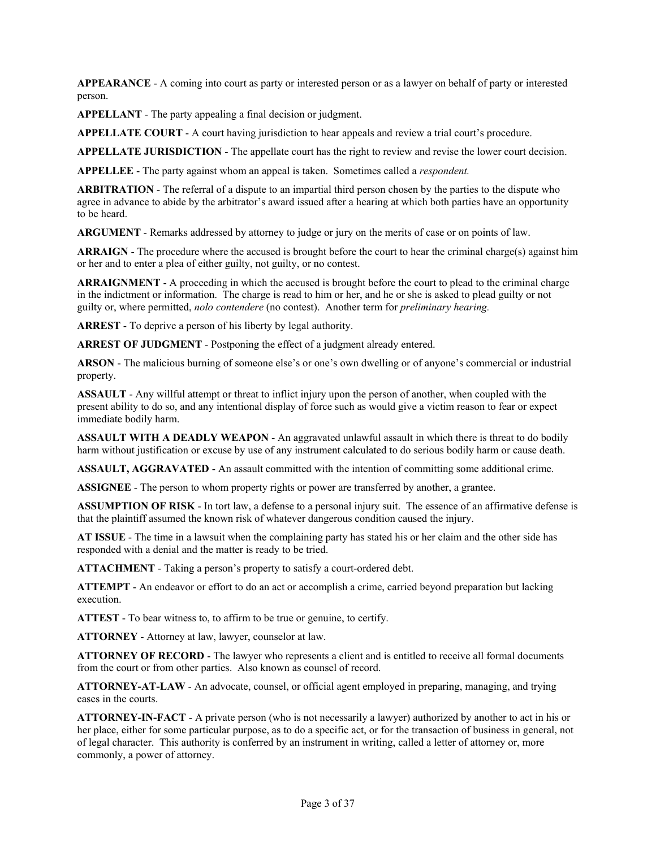**APPEARANCE** - A coming into court as party or interested person or as a lawyer on behalf of party or interested person.

**APPELLANT** - The party appealing a final decision or judgment.

**APPELLATE COURT** - A court having jurisdiction to hear appeals and review a trial court's procedure.

**APPELLATE JURISDICTION** - The appellate court has the right to review and revise the lower court decision.

**APPELLEE** - The party against whom an appeal is taken. Sometimes called a *respondent.* 

**ARBITRATION** - The referral of a dispute to an impartial third person chosen by the parties to the dispute who agree in advance to abide by the arbitrator's award issued after a hearing at which both parties have an opportunity to be heard.

**ARGUMENT** - Remarks addressed by attorney to judge or jury on the merits of case or on points of law.

**ARRAIGN** - The procedure where the accused is brought before the court to hear the criminal charge(s) against him or her and to enter a plea of either guilty, not guilty, or no contest.

**ARRAIGNMENT** - A proceeding in which the accused is brought before the court to plead to the criminal charge in the indictment or information. The charge is read to him or her, and he or she is asked to plead guilty or not guilty or, where permitted, *nolo contendere* (no contest). Another term for *preliminary hearing.* 

**ARREST** - To deprive a person of his liberty by legal authority.

**ARREST OF JUDGMENT** - Postponing the effect of a judgment already entered.

**ARSON** - The malicious burning of someone else's or one's own dwelling or of anyone's commercial or industrial property.

**ASSAULT** - Any willful attempt or threat to inflict injury upon the person of another, when coupled with the present ability to do so, and any intentional display of force such as would give a victim reason to fear or expect immediate bodily harm.

**ASSAULT WITH A DEADLY WEAPON - An aggravated unlawful assault in which there is threat to do bodily** harm without justification or excuse by use of any instrument calculated to do serious bodily harm or cause death.

**ASSAULT, AGGRAVATED** - An assault committed with the intention of committing some additional crime.

**ASSIGNEE** - The person to whom property rights or power are transferred by another, a grantee.

**ASSUMPTION OF RISK** - In tort law, a defense to a personal injury suit. The essence of an affirmative defense is that the plaintiff assumed the known risk of whatever dangerous condition caused the injury.

**AT ISSUE** - The time in a lawsuit when the complaining party has stated his or her claim and the other side has responded with a denial and the matter is ready to be tried.

**ATTACHMENT** - Taking a person's property to satisfy a court-ordered debt.

**ATTEMPT** - An endeavor or effort to do an act or accomplish a crime, carried beyond preparation but lacking execution.

**ATTEST** - To bear witness to, to affirm to be true or genuine, to certify.

**ATTORNEY** - Attorney at law, lawyer, counselor at law.

**ATTORNEY OF RECORD** - The lawyer who represents a client and is entitled to receive all formal documents from the court or from other parties. Also known as counsel of record.

**ATTORNEY-AT-LAW** - An advocate, counsel, or official agent employed in preparing, managing, and trying cases in the courts.

**ATTORNEY-IN-FACT** - A private person (who is not necessarily a lawyer) authorized by another to act in his or her place, either for some particular purpose, as to do a specific act, or for the transaction of business in general, not of legal character. This authority is conferred by an instrument in writing, called a letter of attorney or, more commonly, a power of attorney.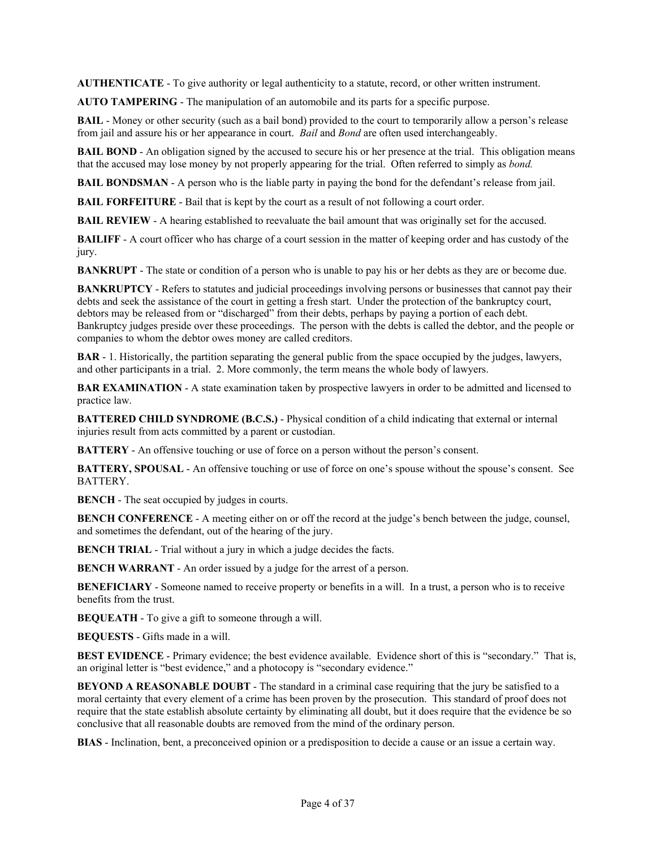**AUTHENTICATE** - To give authority or legal authenticity to a statute, record, or other written instrument.

**AUTO TAMPERING** - The manipulation of an automobile and its parts for a specific purpose.

**BAIL** - Money or other security (such as a bail bond) provided to the court to temporarily allow a person's release from jail and assure his or her appearance in court. *Bail* and *Bond* are often used interchangeably.

**BAIL BOND** - An obligation signed by the accused to secure his or her presence at the trial. This obligation means that the accused may lose money by not properly appearing for the trial. Often referred to simply as *bond.* 

**BAIL BONDSMAN** - A person who is the liable party in paying the bond for the defendant's release from jail.

**BAIL FORFEITURE** - Bail that is kept by the court as a result of not following a court order.

**BAIL REVIEW** - A hearing established to reevaluate the bail amount that was originally set for the accused.

**BAILIFF** - A court officer who has charge of a court session in the matter of keeping order and has custody of the jury.

**BANKRUPT** - The state or condition of a person who is unable to pay his or her debts as they are or become due.

**BANKRUPTCY** - Refers to statutes and judicial proceedings involving persons or businesses that cannot pay their debts and seek the assistance of the court in getting a fresh start. Under the protection of the bankruptcy court, debtors may be released from or "discharged" from their debts, perhaps by paying a portion of each debt. Bankruptcy judges preside over these proceedings. The person with the debts is called the debtor, and the people or companies to whom the debtor owes money are called creditors.

**BAR** - 1. Historically, the partition separating the general public from the space occupied by the judges, lawyers, and other participants in a trial. 2. More commonly, the term means the whole body of lawyers.

**BAR EXAMINATION** - A state examination taken by prospective lawyers in order to be admitted and licensed to practice law.

**BATTERED CHILD SYNDROME (B.C.S.)** - Physical condition of a child indicating that external or internal injuries result from acts committed by a parent or custodian.

**BATTERY** - An offensive touching or use of force on a person without the person's consent.

**BATTERY, SPOUSAL** - An offensive touching or use of force on one's spouse without the spouse's consent. See BATTERY.

**BENCH** - The seat occupied by judges in courts.

**BENCH CONFERENCE** - A meeting either on or off the record at the judge's bench between the judge, counsel, and sometimes the defendant, out of the hearing of the jury.

**BENCH TRIAL** - Trial without a jury in which a judge decides the facts.

**BENCH WARRANT** - An order issued by a judge for the arrest of a person.

**BENEFICIARY** - Someone named to receive property or benefits in a will. In a trust, a person who is to receive benefits from the trust.

**BEQUEATH** - To give a gift to someone through a will.

**BEQUESTS** - Gifts made in a will.

**BEST EVIDENCE** - Primary evidence; the best evidence available. Evidence short of this is "secondary." That is, an original letter is "best evidence," and a photocopy is "secondary evidence."

**BEYOND A REASONABLE DOUBT** - The standard in a criminal case requiring that the jury be satisfied to a moral certainty that every element of a crime has been proven by the prosecution. This standard of proof does not require that the state establish absolute certainty by eliminating all doubt, but it does require that the evidence be so conclusive that all reasonable doubts are removed from the mind of the ordinary person.

**BIAS** - Inclination, bent, a preconceived opinion or a predisposition to decide a cause or an issue a certain way.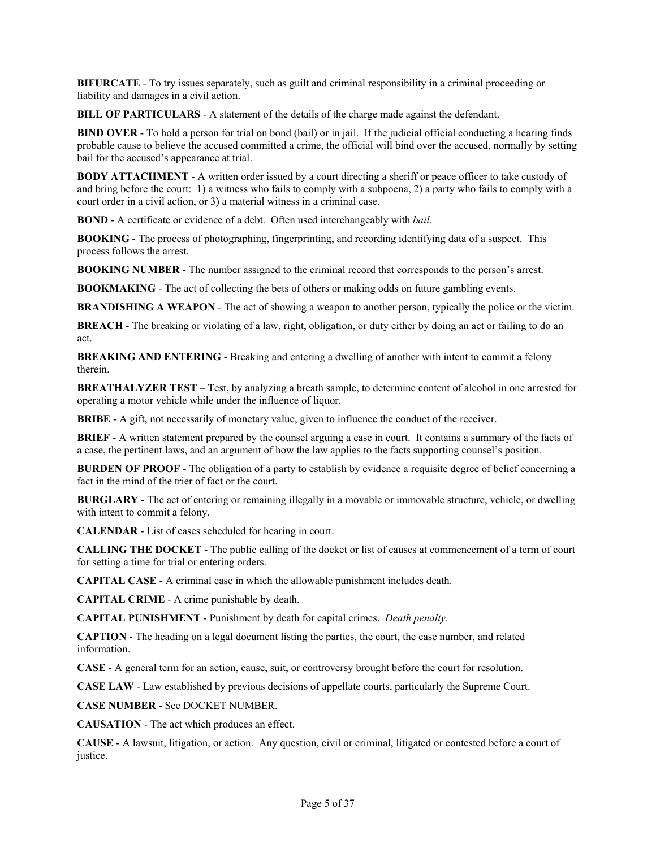**BIFURCATE** - To try issues separately, such as guilt and criminal responsibility in a criminal proceeding or liability and damages in a civil action.

**BILL OF PARTICULARS** - A statement of the details of the charge made against the defendant.

**BIND OVER** - To hold a person for trial on bond (bail) or in jail. If the judicial official conducting a hearing finds probable cause to believe the accused committed a crime, the official will bind over the accused, normally by setting bail for the accused's appearance at trial.

**BODY ATTACHMENT** - A written order issued by a court directing a sheriff or peace officer to take custody of and bring before the court: 1) a witness who fails to comply with a subpoena, 2) a party who fails to comply with a court order in a civil action, or 3) a material witness in a criminal case.

**BOND** - A certificate or evidence of a debt. Often used interchangeably with *bail*.

**BOOKING** - The process of photographing, fingerprinting, and recording identifying data of a suspect. This process follows the arrest.

**BOOKING NUMBER** - The number assigned to the criminal record that corresponds to the person's arrest.

**BOOKMAKING** - The act of collecting the bets of others or making odds on future gambling events.

**BRANDISHING A WEAPON** - The act of showing a weapon to another person, typically the police or the victim.

**BREACH** - The breaking or violating of a law, right, obligation, or duty either by doing an act or failing to do an act.

**BREAKING AND ENTERING** - Breaking and entering a dwelling of another with intent to commit a felony therein.

**BREATHALYZER TEST** – Test, by analyzing a breath sample, to determine content of alcohol in one arrested for operating a motor vehicle while under the influence of liquor.

**BRIBE** - A gift, not necessarily of monetary value, given to influence the conduct of the receiver.

**BRIEF** - A written statement prepared by the counsel arguing a case in court. It contains a summary of the facts of a case, the pertinent laws, and an argument of how the law applies to the facts supporting counsel's position.

**BURDEN OF PROOF** - The obligation of a party to establish by evidence a requisite degree of belief concerning a fact in the mind of the trier of fact or the court.

**BURGLARY** - The act of entering or remaining illegally in a movable or immovable structure, vehicle, or dwelling with intent to commit a felony.

**CALENDAR** - List of cases scheduled for hearing in court.

**CALLING THE DOCKET** - The public calling of the docket or list of causes at commencement of a term of court for setting a time for trial or entering orders.

**CAPITAL CASE** - A criminal case in which the allowable punishment includes death.

**CAPITAL CRIME** - A crime punishable by death.

**CAPITAL PUNISHMENT** - Punishment by death for capital crimes. *Death penalty.*

**CAPTION** - The heading on a legal document listing the parties, the court, the case number, and related information.

**CASE** - A general term for an action, cause, suit, or controversy brought before the court for resolution.

**CASE LAW** - Law established by previous decisions of appellate courts, particularly the Supreme Court.

**CASE NUMBER** - See DOCKET NUMBER.

**CAUSATION** - The act which produces an effect.

**CAUSE** - A lawsuit, litigation, or action. Any question, civil or criminal, litigated or contested before a court of justice.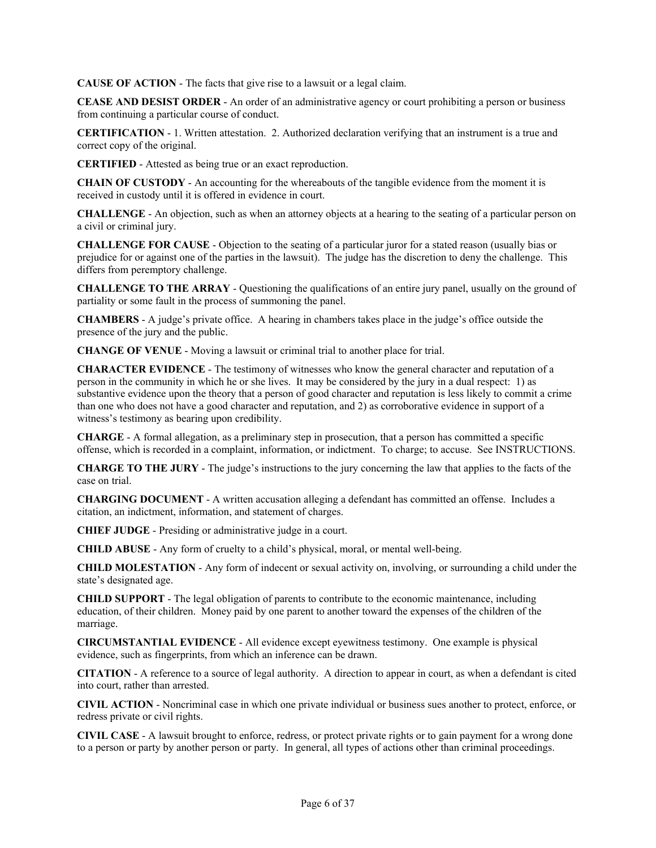**CAUSE OF ACTION** - The facts that give rise to a lawsuit or a legal claim.

**CEASE AND DESIST ORDER** - An order of an administrative agency or court prohibiting a person or business from continuing a particular course of conduct.

**CERTIFICATION** - 1. Written attestation. 2. Authorized declaration verifying that an instrument is a true and correct copy of the original.

**CERTIFIED** - Attested as being true or an exact reproduction.

**CHAIN OF CUSTODY** - An accounting for the whereabouts of the tangible evidence from the moment it is received in custody until it is offered in evidence in court.

**CHALLENGE** - An objection, such as when an attorney objects at a hearing to the seating of a particular person on a civil or criminal jury.

**CHALLENGE FOR CAUSE** - Objection to the seating of a particular juror for a stated reason (usually bias or prejudice for or against one of the parties in the lawsuit). The judge has the discretion to deny the challenge. This differs from peremptory challenge.

**CHALLENGE TO THE ARRAY** - Questioning the qualifications of an entire jury panel, usually on the ground of partiality or some fault in the process of summoning the panel.

**CHAMBERS** - A judge's private office. A hearing in chambers takes place in the judge's office outside the presence of the jury and the public.

**CHANGE OF VENUE** - Moving a lawsuit or criminal trial to another place for trial.

**CHARACTER EVIDENCE** - The testimony of witnesses who know the general character and reputation of a person in the community in which he or she lives. It may be considered by the jury in a dual respect: 1) as substantive evidence upon the theory that a person of good character and reputation is less likely to commit a crime than one who does not have a good character and reputation, and 2) as corroborative evidence in support of a witness's testimony as bearing upon credibility.

**CHARGE** - A formal allegation, as a preliminary step in prosecution, that a person has committed a specific offense, which is recorded in a complaint, information, or indictment. To charge; to accuse. See INSTRUCTIONS.

**CHARGE TO THE JURY** - The judge's instructions to the jury concerning the law that applies to the facts of the case on trial.

**CHARGING DOCUMENT** - A written accusation alleging a defendant has committed an offense. Includes a citation, an indictment, information, and statement of charges.

**CHIEF JUDGE** - Presiding or administrative judge in a court.

**CHILD ABUSE** - Any form of cruelty to a child's physical, moral, or mental well-being.

**CHILD MOLESTATION** - Any form of indecent or sexual activity on, involving, or surrounding a child under the state's designated age.

**CHILD SUPPORT** - The legal obligation of parents to contribute to the economic maintenance, including education, of their children. Money paid by one parent to another toward the expenses of the children of the marriage.

**CIRCUMSTANTIAL EVIDENCE** - All evidence except eyewitness testimony. One example is physical evidence, such as fingerprints, from which an inference can be drawn.

**CITATION** - A reference to a source of legal authority. A direction to appear in court, as when a defendant is cited into court, rather than arrested.

**CIVIL ACTION** - Noncriminal case in which one private individual or business sues another to protect, enforce, or redress private or civil rights.

**CIVIL CASE** - A lawsuit brought to enforce, redress, or protect private rights or to gain payment for a wrong done to a person or party by another person or party. In general, all types of actions other than criminal proceedings.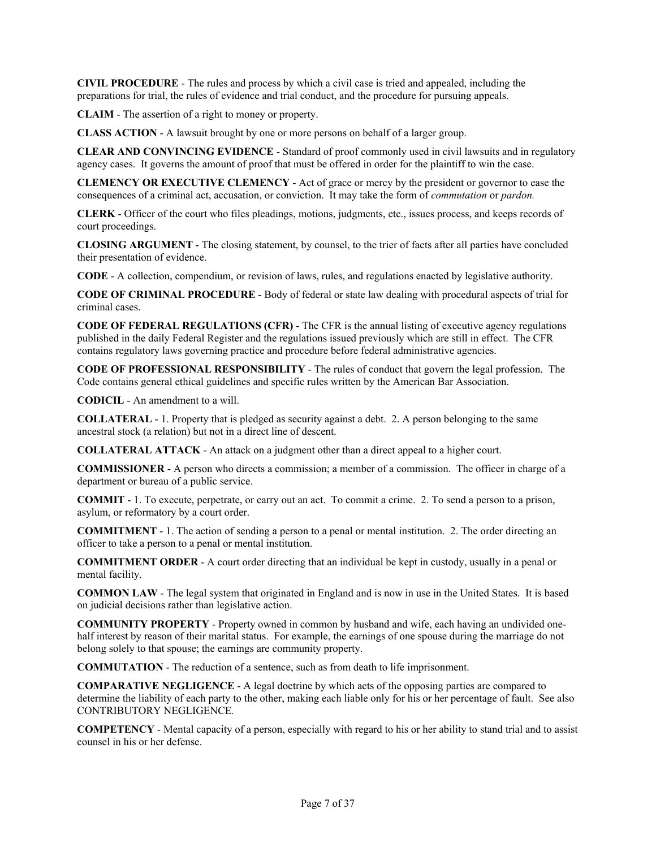**CIVIL PROCEDURE** - The rules and process by which a civil case is tried and appealed, including the preparations for trial, the rules of evidence and trial conduct, and the procedure for pursuing appeals.

**CLAIM** - The assertion of a right to money or property.

**CLASS ACTION** - A lawsuit brought by one or more persons on behalf of a larger group.

**CLEAR AND CONVINCING EVIDENCE** - Standard of proof commonly used in civil lawsuits and in regulatory agency cases. It governs the amount of proof that must be offered in order for the plaintiff to win the case.

**CLEMENCY OR EXECUTIVE CLEMENCY** - Act of grace or mercy by the president or governor to ease the consequences of a criminal act, accusation, or conviction. It may take the form of *commutation* or *pardon.* 

**CLERK** - Officer of the court who files pleadings, motions, judgments, etc., issues process, and keeps records of court proceedings.

**CLOSING ARGUMENT** - The closing statement, by counsel, to the trier of facts after all parties have concluded their presentation of evidence.

**CODE** - A collection, compendium, or revision of laws, rules, and regulations enacted by legislative authority.

**CODE OF CRIMINAL PROCEDURE** - Body of federal or state law dealing with procedural aspects of trial for criminal cases.

**CODE OF FEDERAL REGULATIONS (CFR)** - The CFR is the annual listing of executive agency regulations published in the daily Federal Register and the regulations issued previously which are still in effect. The CFR contains regulatory laws governing practice and procedure before federal administrative agencies.

**CODE OF PROFESSIONAL RESPONSIBILITY** - The rules of conduct that govern the legal profession. The Code contains general ethical guidelines and specific rules written by the American Bar Association.

**CODICIL** - An amendment to a will.

**COLLATERAL** - 1. Property that is pledged as security against a debt. 2. A person belonging to the same ancestral stock (a relation) but not in a direct line of descent.

**COLLATERAL ATTACK** - An attack on a judgment other than a direct appeal to a higher court.

**COMMISSIONER** - A person who directs a commission; a member of a commission. The officer in charge of a department or bureau of a public service.

**COMMIT** - 1. To execute, perpetrate, or carry out an act. To commit a crime. 2. To send a person to a prison, asylum, or reformatory by a court order.

**COMMITMENT** - 1. The action of sending a person to a penal or mental institution. 2. The order directing an officer to take a person to a penal or mental institution.

**COMMITMENT ORDER** - A court order directing that an individual be kept in custody, usually in a penal or mental facility.

**COMMON LAW** - The legal system that originated in England and is now in use in the United States. It is based on judicial decisions rather than legislative action.

**COMMUNITY PROPERTY** - Property owned in common by husband and wife, each having an undivided onehalf interest by reason of their marital status. For example, the earnings of one spouse during the marriage do not belong solely to that spouse; the earnings are community property.

**COMMUTATION** - The reduction of a sentence, such as from death to life imprisonment.

**COMPARATIVE NEGLIGENCE** - A legal doctrine by which acts of the opposing parties are compared to determine the liability of each party to the other, making each liable only for his or her percentage of fault. See also CONTRIBUTORY NEGLIGENCE*.* 

**COMPETENCY** - Mental capacity of a person, especially with regard to his or her ability to stand trial and to assist counsel in his or her defense.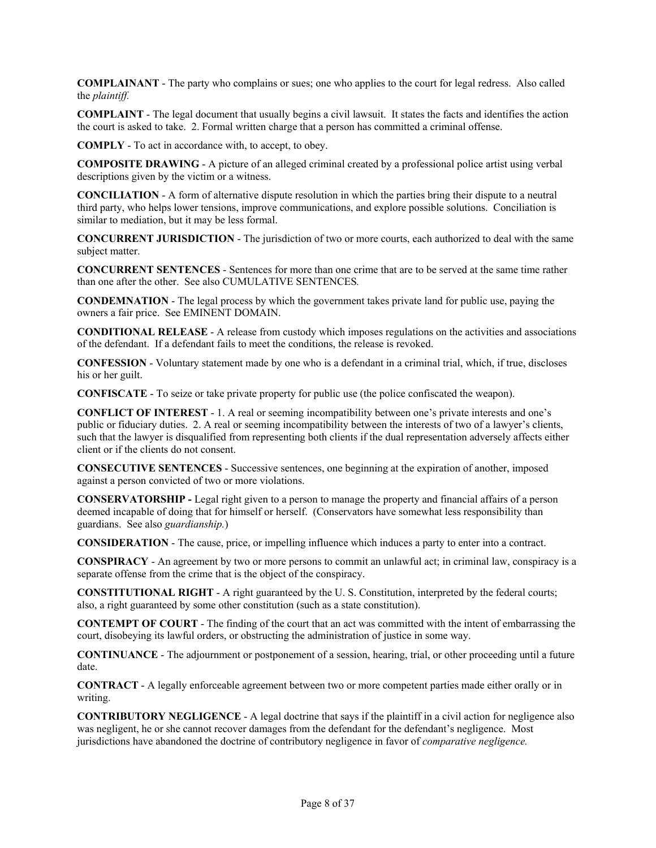**COMPLAINANT** - The party who complains or sues; one who applies to the court for legal redress. Also called the *plaintiff.* 

**COMPLAINT** - The legal document that usually begins a civil lawsuit. It states the facts and identifies the action the court is asked to take. 2. Formal written charge that a person has committed a criminal offense.

**COMPLY** - To act in accordance with, to accept, to obey.

**COMPOSITE DRAWING** - A picture of an alleged criminal created by a professional police artist using verbal descriptions given by the victim or a witness.

**CONCILIATION** - A form of alternative dispute resolution in which the parties bring their dispute to a neutral third party, who helps lower tensions, improve communications, and explore possible solutions. Conciliation is similar to mediation, but it may be less formal.

**CONCURRENT JURISDICTION** - The jurisdiction of two or more courts, each authorized to deal with the same subject matter.

**CONCURRENT SENTENCES** - Sentences for more than one crime that are to be served at the same time rather than one after the other. See also CUMULATIVE SENTENCES*.* 

**CONDEMNATION** - The legal process by which the government takes private land for public use, paying the owners a fair price. See EMINENT DOMAIN.

**CONDITIONAL RELEASE** - A release from custody which imposes regulations on the activities and associations of the defendant. If a defendant fails to meet the conditions, the release is revoked.

**CONFESSION** - Voluntary statement made by one who is a defendant in a criminal trial, which, if true, discloses his or her guilt.

**CONFISCATE** - To seize or take private property for public use (the police confiscated the weapon).

**CONFLICT OF INTEREST** - 1. A real or seeming incompatibility between one's private interests and one's public or fiduciary duties. 2. A real or seeming incompatibility between the interests of two of a lawyer's clients, such that the lawyer is disqualified from representing both clients if the dual representation adversely affects either client or if the clients do not consent.

**CONSECUTIVE SENTENCES** - Successive sentences, one beginning at the expiration of another, imposed against a person convicted of two or more violations.

**CONSERVATORSHIP -** Legal right given to a person to manage the property and financial affairs of a person deemed incapable of doing that for himself or herself. (Conservators have somewhat less responsibility than guardians. See also *guardianship.*)

**CONSIDERATION** - The cause, price, or impelling influence which induces a party to enter into a contract.

**CONSPIRACY** - An agreement by two or more persons to commit an unlawful act; in criminal law, conspiracy is a separate offense from the crime that is the object of the conspiracy.

**CONSTITUTIONAL RIGHT** - A right guaranteed by the U. S. Constitution, interpreted by the federal courts; also, a right guaranteed by some other constitution (such as a state constitution).

**CONTEMPT OF COURT** - The finding of the court that an act was committed with the intent of embarrassing the court, disobeying its lawful orders, or obstructing the administration of justice in some way.

**CONTINUANCE** - The adjournment or postponement of a session, hearing, trial, or other proceeding until a future date.

**CONTRACT** - A legally enforceable agreement between two or more competent parties made either orally or in writing.

**CONTRIBUTORY NEGLIGENCE** - A legal doctrine that says if the plaintiff in a civil action for negligence also was negligent, he or she cannot recover damages from the defendant for the defendant's negligence. Most jurisdictions have abandoned the doctrine of contributory negligence in favor of *comparative negligence.*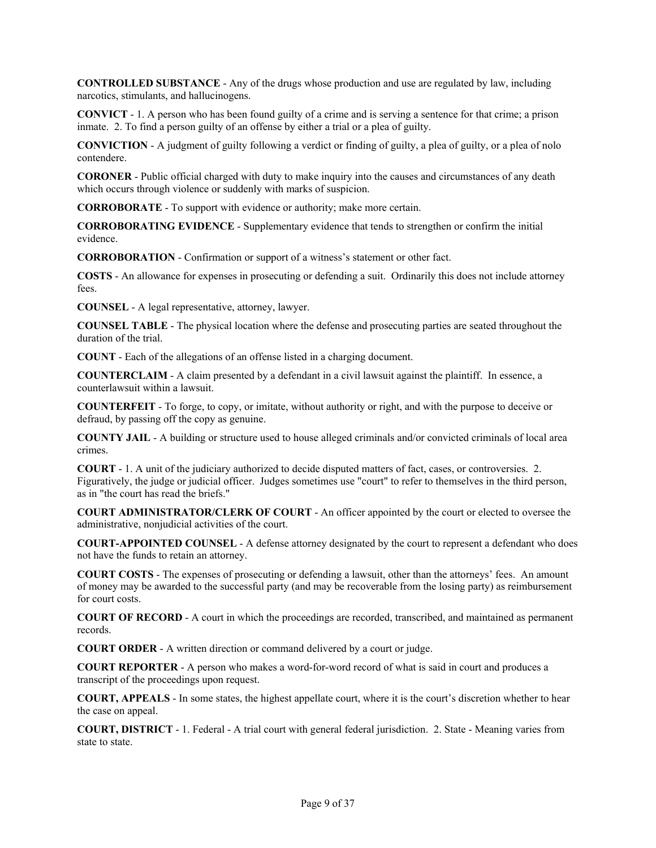**CONTROLLED SUBSTANCE** - Any of the drugs whose production and use are regulated by law, including narcotics, stimulants, and hallucinogens.

**CONVICT** - 1. A person who has been found guilty of a crime and is serving a sentence for that crime; a prison inmate. 2. To find a person guilty of an offense by either a trial or a plea of guilty.

**CONVICTION** - A judgment of guilty following a verdict or finding of guilty, a plea of guilty, or a plea of nolo contendere.

**CORONER** - Public official charged with duty to make inquiry into the causes and circumstances of any death which occurs through violence or suddenly with marks of suspicion.

**CORROBORATE** - To support with evidence or authority; make more certain.

**CORROBORATING EVIDENCE** - Supplementary evidence that tends to strengthen or confirm the initial evidence.

**CORROBORATION** - Confirmation or support of a witness's statement or other fact.

**COSTS** - An allowance for expenses in prosecuting or defending a suit. Ordinarily this does not include attorney fees.

**COUNSEL** - A legal representative, attorney, lawyer.

**COUNSEL TABLE** - The physical location where the defense and prosecuting parties are seated throughout the duration of the trial.

**COUNT** - Each of the allegations of an offense listed in a charging document.

**COUNTERCLAIM** - A claim presented by a defendant in a civil lawsuit against the plaintiff. In essence, a counterlawsuit within a lawsuit.

**COUNTERFEIT** - To forge, to copy, or imitate, without authority or right, and with the purpose to deceive or defraud, by passing off the copy as genuine.

**COUNTY JAIL** - A building or structure used to house alleged criminals and/or convicted criminals of local area crimes.

**COURT** - 1. A unit of the judiciary authorized to decide disputed matters of fact, cases, or controversies. 2. Figuratively, the judge or judicial officer. Judges sometimes use "court" to refer to themselves in the third person, as in "the court has read the briefs."

**COURT ADMINISTRATOR/CLERK OF COURT** - An officer appointed by the court or elected to oversee the administrative, nonjudicial activities of the court.

**COURT-APPOINTED COUNSEL** - A defense attorney designated by the court to represent a defendant who does not have the funds to retain an attorney.

**COURT COSTS** - The expenses of prosecuting or defending a lawsuit, other than the attorneys' fees. An amount of money may be awarded to the successful party (and may be recoverable from the losing party) as reimbursement for court costs.

**COURT OF RECORD** - A court in which the proceedings are recorded, transcribed, and maintained as permanent records.

**COURT ORDER** - A written direction or command delivered by a court or judge.

**COURT REPORTER** - A person who makes a word-for-word record of what is said in court and produces a transcript of the proceedings upon request.

**COURT, APPEALS** - In some states, the highest appellate court, where it is the court's discretion whether to hear the case on appeal.

**COURT, DISTRICT** - 1. Federal - A trial court with general federal jurisdiction. 2. State - Meaning varies from state to state.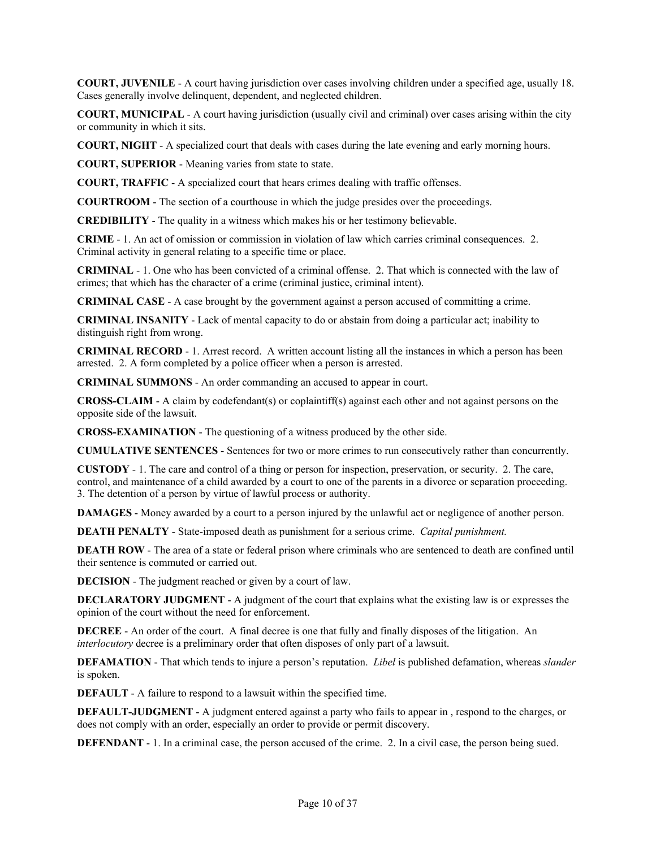**COURT, JUVENILE** - A court having jurisdiction over cases involving children under a specified age, usually 18. Cases generally involve delinquent, dependent, and neglected children.

**COURT, MUNICIPAL** - A court having jurisdiction (usually civil and criminal) over cases arising within the city or community in which it sits.

**COURT, NIGHT** - A specialized court that deals with cases during the late evening and early morning hours.

**COURT, SUPERIOR** - Meaning varies from state to state.

**COURT, TRAFFIC** - A specialized court that hears crimes dealing with traffic offenses.

**COURTROOM** - The section of a courthouse in which the judge presides over the proceedings.

**CREDIBILITY** - The quality in a witness which makes his or her testimony believable.

**CRIME** - 1. An act of omission or commission in violation of law which carries criminal consequences. 2. Criminal activity in general relating to a specific time or place.

**CRIMINAL** - 1. One who has been convicted of a criminal offense. 2. That which is connected with the law of crimes; that which has the character of a crime (criminal justice, criminal intent).

**CRIMINAL CASE** - A case brought by the government against a person accused of committing a crime.

**CRIMINAL INSANITY** - Lack of mental capacity to do or abstain from doing a particular act; inability to distinguish right from wrong.

**CRIMINAL RECORD** - 1. Arrest record. A written account listing all the instances in which a person has been arrested. 2. A form completed by a police officer when a person is arrested.

**CRIMINAL SUMMONS** - An order commanding an accused to appear in court.

**CROSS-CLAIM** - A claim by codefendant(s) or coplaintiff(s) against each other and not against persons on the opposite side of the lawsuit.

**CROSS-EXAMINATION** - The questioning of a witness produced by the other side.

**CUMULATIVE SENTENCES** - Sentences for two or more crimes to run consecutively rather than concurrently.

**CUSTODY** - 1. The care and control of a thing or person for inspection, preservation, or security. 2. The care, control, and maintenance of a child awarded by a court to one of the parents in a divorce or separation proceeding. 3. The detention of a person by virtue of lawful process or authority.

**DAMAGES** - Money awarded by a court to a person injured by the unlawful act or negligence of another person.

**DEATH PENALTY** - State-imposed death as punishment for a serious crime. *Capital punishment.*

**DEATH ROW** - The area of a state or federal prison where criminals who are sentenced to death are confined until their sentence is commuted or carried out.

**DECISION** - The judgment reached or given by a court of law.

**DECLARATORY JUDGMENT** - A judgment of the court that explains what the existing law is or expresses the opinion of the court without the need for enforcement.

**DECREE** - An order of the court. A final decree is one that fully and finally disposes of the litigation. An *interlocutory* decree is a preliminary order that often disposes of only part of a lawsuit.

**DEFAMATION** - That which tends to injure a person's reputation. *Libel* is published defamation, whereas *slander*  is spoken.

**DEFAULT** - A failure to respond to a lawsuit within the specified time.

**DEFAULT-JUDGMENT** - A judgment entered against a party who fails to appear in, respond to the charges, or does not comply with an order, especially an order to provide or permit discovery.

**DEFENDANT** - 1. In a criminal case, the person accused of the crime. 2. In a civil case, the person being sued.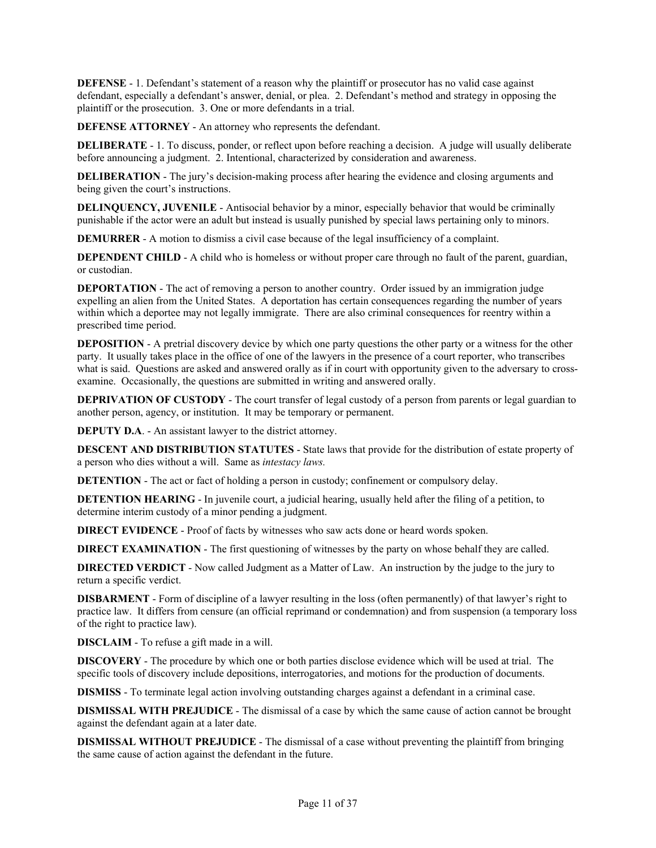**DEFENSE** - 1. Defendant's statement of a reason why the plaintiff or prosecutor has no valid case against defendant, especially a defendant's answer, denial, or plea. 2. Defendant's method and strategy in opposing the plaintiff or the prosecution. 3. One or more defendants in a trial.

**DEFENSE ATTORNEY** - An attorney who represents the defendant.

**DELIBERATE** - 1. To discuss, ponder, or reflect upon before reaching a decision. A judge will usually deliberate before announcing a judgment. 2. Intentional, characterized by consideration and awareness.

**DELIBERATION** - The jury's decision-making process after hearing the evidence and closing arguments and being given the court's instructions.

**DELINQUENCY, JUVENILE** - Antisocial behavior by a minor, especially behavior that would be criminally punishable if the actor were an adult but instead is usually punished by special laws pertaining only to minors.

**DEMURRER** - A motion to dismiss a civil case because of the legal insufficiency of a complaint.

**DEPENDENT CHILD** - A child who is homeless or without proper care through no fault of the parent, guardian, or custodian.

**DEPORTATION** - The act of removing a person to another country. Order issued by an immigration judge expelling an alien from the United States. A deportation has certain consequences regarding the number of years within which a deportee may not legally immigrate. There are also criminal consequences for reentry within a prescribed time period.

**DEPOSITION** - A pretrial discovery device by which one party questions the other party or a witness for the other party. It usually takes place in the office of one of the lawyers in the presence of a court reporter, who transcribes what is said. Questions are asked and answered orally as if in court with opportunity given to the adversary to crossexamine. Occasionally, the questions are submitted in writing and answered orally.

**DEPRIVATION OF CUSTODY** - The court transfer of legal custody of a person from parents or legal guardian to another person, agency, or institution. It may be temporary or permanent.

**DEPUTY D.A.** - An assistant lawyer to the district attorney.

**DESCENT AND DISTRIBUTION STATUTES** - State laws that provide for the distribution of estate property of a person who dies without a will. Same as *intestacy laws.* 

**DETENTION** - The act or fact of holding a person in custody; confinement or compulsory delay.

**DETENTION HEARING** - In juvenile court, a judicial hearing, usually held after the filing of a petition, to determine interim custody of a minor pending a judgment.

**DIRECT EVIDENCE** - Proof of facts by witnesses who saw acts done or heard words spoken.

**DIRECT EXAMINATION** - The first questioning of witnesses by the party on whose behalf they are called.

**DIRECTED VERDICT** - Now called Judgment as a Matter of Law. An instruction by the judge to the jury to return a specific verdict.

**DISBARMENT** - Form of discipline of a lawyer resulting in the loss (often permanently) of that lawyer's right to practice law. It differs from censure (an official reprimand or condemnation) and from suspension (a temporary loss of the right to practice law).

**DISCLAIM** - To refuse a gift made in a will.

**DISCOVERY** - The procedure by which one or both parties disclose evidence which will be used at trial. The specific tools of discovery include depositions, interrogatories, and motions for the production of documents.

**DISMISS** - To terminate legal action involving outstanding charges against a defendant in a criminal case.

**DISMISSAL WITH PREJUDICE** - The dismissal of a case by which the same cause of action cannot be brought against the defendant again at a later date.

**DISMISSAL WITHOUT PREJUDICE** - The dismissal of a case without preventing the plaintiff from bringing the same cause of action against the defendant in the future.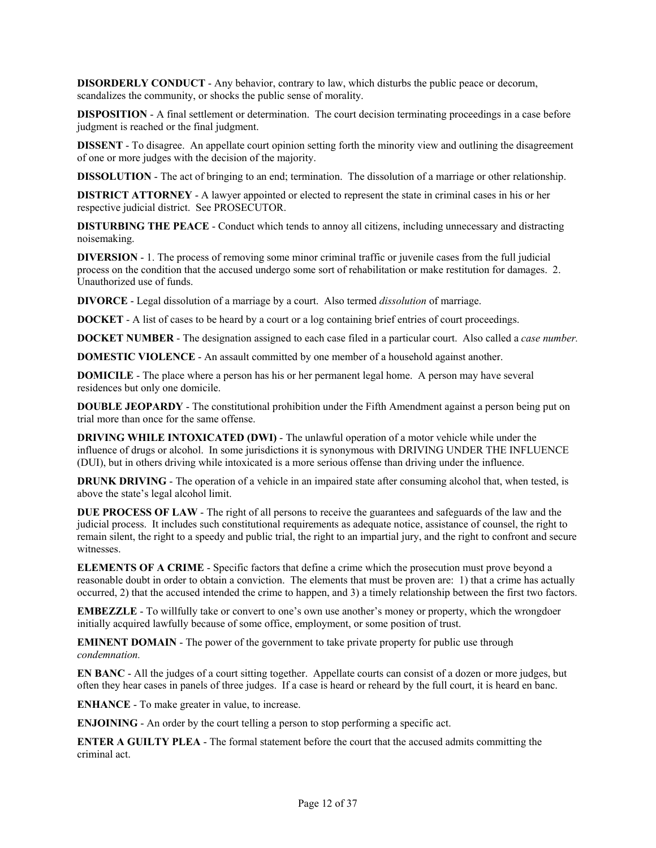**DISORDERLY CONDUCT** - Any behavior, contrary to law, which disturbs the public peace or decorum, scandalizes the community, or shocks the public sense of morality.

**DISPOSITION** - A final settlement or determination. The court decision terminating proceedings in a case before judgment is reached or the final judgment.

**DISSENT** - To disagree. An appellate court opinion setting forth the minority view and outlining the disagreement of one or more judges with the decision of the majority.

**DISSOLUTION** - The act of bringing to an end; termination. The dissolution of a marriage or other relationship.

**DISTRICT ATTORNEY** - A lawyer appointed or elected to represent the state in criminal cases in his or her respective judicial district. See PROSECUTOR.

**DISTURBING THE PEACE** - Conduct which tends to annoy all citizens, including unnecessary and distracting noisemaking.

**DIVERSION** - 1. The process of removing some minor criminal traffic or juvenile cases from the full judicial process on the condition that the accused undergo some sort of rehabilitation or make restitution for damages. 2. Unauthorized use of funds.

**DIVORCE** - Legal dissolution of a marriage by a court. Also termed *dissolution* of marriage.

**DOCKET** - A list of cases to be heard by a court or a log containing brief entries of court proceedings.

**DOCKET NUMBER** - The designation assigned to each case filed in a particular court. Also called a *case number.* 

**DOMESTIC VIOLENCE** - An assault committed by one member of a household against another.

**DOMICILE** - The place where a person has his or her permanent legal home. A person may have several residences but only one domicile.

**DOUBLE JEOPARDY** - The constitutional prohibition under the Fifth Amendment against a person being put on trial more than once for the same offense.

**DRIVING WHILE INTOXICATED (DWI)** - The unlawful operation of a motor vehicle while under the influence of drugs or alcohol. In some jurisdictions it is synonymous with DRIVING UNDER THE INFLUENCE (DUI), but in others driving while intoxicated is a more serious offense than driving under the influence.

**DRUNK DRIVING** - The operation of a vehicle in an impaired state after consuming alcohol that, when tested, is above the state's legal alcohol limit.

**DUE PROCESS OF LAW** - The right of all persons to receive the guarantees and safeguards of the law and the judicial process. It includes such constitutional requirements as adequate notice, assistance of counsel, the right to remain silent, the right to a speedy and public trial, the right to an impartial jury, and the right to confront and secure witnesses.

**ELEMENTS OF A CRIME** - Specific factors that define a crime which the prosecution must prove beyond a reasonable doubt in order to obtain a conviction. The elements that must be proven are: 1) that a crime has actually occurred, 2) that the accused intended the crime to happen, and 3) a timely relationship between the first two factors.

**EMBEZZLE** - To willfully take or convert to one's own use another's money or property, which the wrongdoer initially acquired lawfully because of some office, employment, or some position of trust.

**EMINENT DOMAIN** - The power of the government to take private property for public use through *condemnation.* 

**EN BANC** - All the judges of a court sitting together. Appellate courts can consist of a dozen or more judges, but often they hear cases in panels of three judges. If a case is heard or reheard by the full court, it is heard en banc.

**ENHANCE** - To make greater in value, to increase.

**ENJOINING** - An order by the court telling a person to stop performing a specific act.

**ENTER A GUILTY PLEA** - The formal statement before the court that the accused admits committing the criminal act.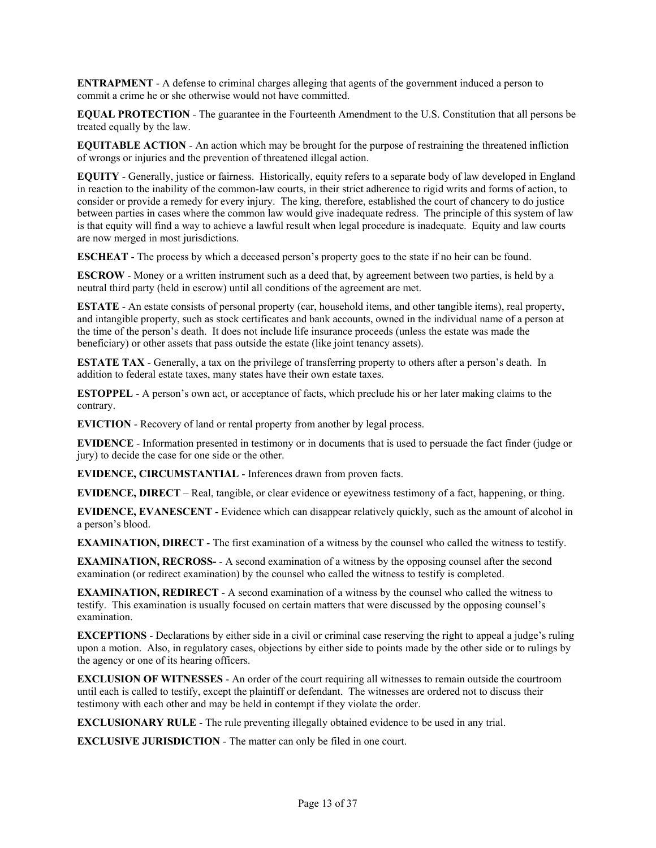**ENTRAPMENT** - A defense to criminal charges alleging that agents of the government induced a person to commit a crime he or she otherwise would not have committed.

**EQUAL PROTECTION** - The guarantee in the Fourteenth Amendment to the U.S. Constitution that all persons be treated equally by the law.

**EQUITABLE ACTION** - An action which may be brought for the purpose of restraining the threatened infliction of wrongs or injuries and the prevention of threatened illegal action.

**EQUITY** - Generally, justice or fairness. Historically, equity refers to a separate body of law developed in England in reaction to the inability of the common-law courts, in their strict adherence to rigid writs and forms of action, to consider or provide a remedy for every injury. The king, therefore, established the court of chancery to do justice between parties in cases where the common law would give inadequate redress. The principle of this system of law is that equity will find a way to achieve a lawful result when legal procedure is inadequate. Equity and law courts are now merged in most jurisdictions.

**ESCHEAT** - The process by which a deceased person's property goes to the state if no heir can be found.

**ESCROW** - Money or a written instrument such as a deed that, by agreement between two parties, is held by a neutral third party (held in escrow) until all conditions of the agreement are met.

**ESTATE** - An estate consists of personal property (car, household items, and other tangible items), real property, and intangible property, such as stock certificates and bank accounts, owned in the individual name of a person at the time of the person's death. It does not include life insurance proceeds (unless the estate was made the beneficiary) or other assets that pass outside the estate (like joint tenancy assets).

**ESTATE TAX** - Generally, a tax on the privilege of transferring property to others after a person's death. In addition to federal estate taxes, many states have their own estate taxes.

**ESTOPPEL** - A person's own act, or acceptance of facts, which preclude his or her later making claims to the contrary.

**EVICTION** - Recovery of land or rental property from another by legal process.

**EVIDENCE** - Information presented in testimony or in documents that is used to persuade the fact finder (judge or jury) to decide the case for one side or the other.

**EVIDENCE, CIRCUMSTANTIAL** - Inferences drawn from proven facts.

**EVIDENCE, DIRECT** – Real, tangible, or clear evidence or eyewitness testimony of a fact, happening, or thing.

**EVIDENCE, EVANESCENT** - Evidence which can disappear relatively quickly, such as the amount of alcohol in a person's blood.

**EXAMINATION, DIRECT** - The first examination of a witness by the counsel who called the witness to testify.

**EXAMINATION, RECROSS-** - A second examination of a witness by the opposing counsel after the second examination (or redirect examination) by the counsel who called the witness to testify is completed.

**EXAMINATION, REDIRECT** - A second examination of a witness by the counsel who called the witness to testify. This examination is usually focused on certain matters that were discussed by the opposing counsel's examination.

**EXCEPTIONS** - Declarations by either side in a civil or criminal case reserving the right to appeal a judge's ruling upon a motion. Also, in regulatory cases, objections by either side to points made by the other side or to rulings by the agency or one of its hearing officers.

**EXCLUSION OF WITNESSES** - An order of the court requiring all witnesses to remain outside the courtroom until each is called to testify, except the plaintiff or defendant. The witnesses are ordered not to discuss their testimony with each other and may be held in contempt if they violate the order.

**EXCLUSIONARY RULE** - The rule preventing illegally obtained evidence to be used in any trial.

**EXCLUSIVE JURISDICTION** - The matter can only be filed in one court.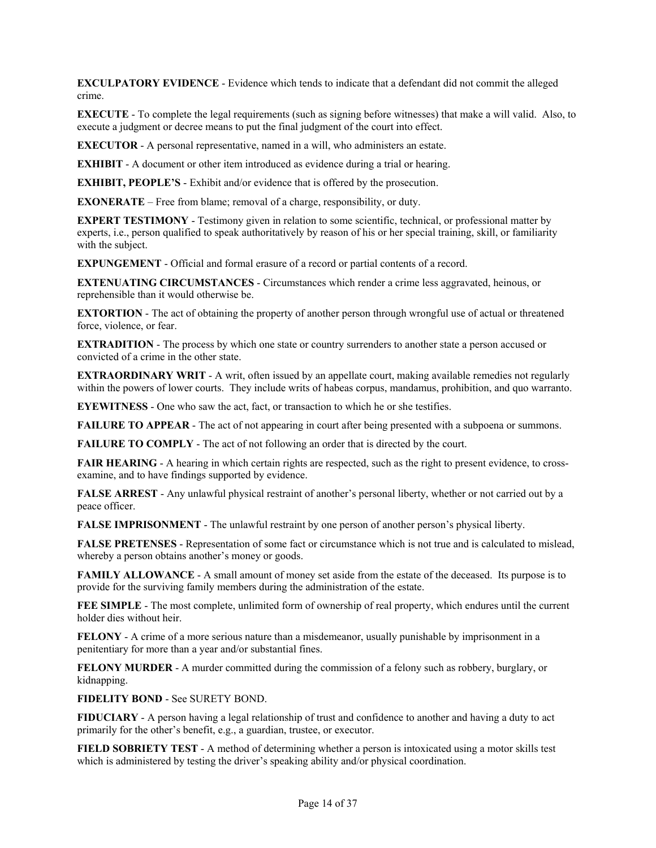**EXCULPATORY EVIDENCE** - Evidence which tends to indicate that a defendant did not commit the alleged crime.

**EXECUTE** - To complete the legal requirements (such as signing before witnesses) that make a will valid. Also, to execute a judgment or decree means to put the final judgment of the court into effect.

**EXECUTOR** - A personal representative, named in a will, who administers an estate.

**EXHIBIT** - A document or other item introduced as evidence during a trial or hearing.

**EXHIBIT, PEOPLE'S** - Exhibit and/or evidence that is offered by the prosecution.

**EXONERATE** – Free from blame; removal of a charge, responsibility, or duty.

**EXPERT TESTIMONY** - Testimony given in relation to some scientific, technical, or professional matter by experts, i.e., person qualified to speak authoritatively by reason of his or her special training, skill, or familiarity with the subject.

**EXPUNGEMENT** - Official and formal erasure of a record or partial contents of a record.

**EXTENUATING CIRCUMSTANCES** - Circumstances which render a crime less aggravated, heinous, or reprehensible than it would otherwise be.

**EXTORTION** - The act of obtaining the property of another person through wrongful use of actual or threatened force, violence, or fear.

**EXTRADITION** - The process by which one state or country surrenders to another state a person accused or convicted of a crime in the other state.

**EXTRAORDINARY WRIT** - A writ, often issued by an appellate court, making available remedies not regularly within the powers of lower courts. They include writs of habeas corpus, mandamus, prohibition, and quo warranto.

**EYEWITNESS** - One who saw the act, fact, or transaction to which he or she testifies.

**FAILURE TO APPEAR** - The act of not appearing in court after being presented with a subpoena or summons.

**FAILURE TO COMPLY** - The act of not following an order that is directed by the court.

**FAIR HEARING** - A hearing in which certain rights are respected, such as the right to present evidence, to crossexamine, and to have findings supported by evidence.

**FALSE ARREST** - Any unlawful physical restraint of another's personal liberty, whether or not carried out by a peace officer.

**FALSE IMPRISONMENT** - The unlawful restraint by one person of another person's physical liberty.

**FALSE PRETENSES** - Representation of some fact or circumstance which is not true and is calculated to mislead, whereby a person obtains another's money or goods.

**FAMILY ALLOWANCE** - A small amount of money set aside from the estate of the deceased. Its purpose is to provide for the surviving family members during the administration of the estate.

**FEE SIMPLE** - The most complete, unlimited form of ownership of real property, which endures until the current holder dies without heir.

**FELONY** - A crime of a more serious nature than a misdemeanor, usually punishable by imprisonment in a penitentiary for more than a year and/or substantial fines.

**FELONY MURDER** - A murder committed during the commission of a felony such as robbery, burglary, or kidnapping.

**FIDELITY BOND** - See SURETY BOND.

**FIDUCIARY** - A person having a legal relationship of trust and confidence to another and having a duty to act primarily for the other's benefit, e.g., a guardian, trustee, or executor.

**FIELD SOBRIETY TEST** - A method of determining whether a person is intoxicated using a motor skills test which is administered by testing the driver's speaking ability and/or physical coordination.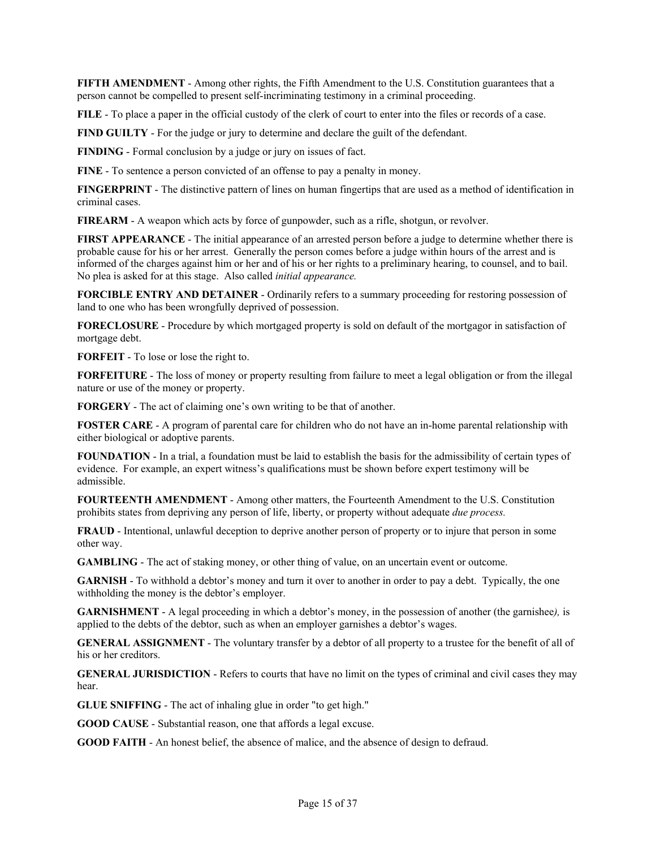**FIFTH AMENDMENT** - Among other rights, the Fifth Amendment to the U.S. Constitution guarantees that a person cannot be compelled to present self-incriminating testimony in a criminal proceeding.

**FILE** - To place a paper in the official custody of the clerk of court to enter into the files or records of a case.

**FIND GUILTY** - For the judge or jury to determine and declare the guilt of the defendant.

**FINDING** - Formal conclusion by a judge or jury on issues of fact.

**FINE** - To sentence a person convicted of an offense to pay a penalty in money.

**FINGERPRINT** - The distinctive pattern of lines on human fingertips that are used as a method of identification in criminal cases.

**FIREARM** - A weapon which acts by force of gunpowder, such as a rifle, shotgun, or revolver.

**FIRST APPEARANCE** - The initial appearance of an arrested person before a judge to determine whether there is probable cause for his or her arrest. Generally the person comes before a judge within hours of the arrest and is informed of the charges against him or her and of his or her rights to a preliminary hearing, to counsel, and to bail. No plea is asked for at this stage. Also called *initial appearance.* 

**FORCIBLE ENTRY AND DETAINER** - Ordinarily refers to a summary proceeding for restoring possession of land to one who has been wrongfully deprived of possession.

**FORECLOSURE** - Procedure by which mortgaged property is sold on default of the mortgagor in satisfaction of mortgage debt.

**FORFEIT** - To lose or lose the right to.

**FORFEITURE** - The loss of money or property resulting from failure to meet a legal obligation or from the illegal nature or use of the money or property.

**FORGERY** - The act of claiming one's own writing to be that of another.

**FOSTER CARE** - A program of parental care for children who do not have an in-home parental relationship with either biological or adoptive parents.

**FOUNDATION** - In a trial, a foundation must be laid to establish the basis for the admissibility of certain types of evidence. For example, an expert witness's qualifications must be shown before expert testimony will be admissible.

**FOURTEENTH AMENDMENT** - Among other matters, the Fourteenth Amendment to the U.S. Constitution prohibits states from depriving any person of life, liberty, or property without adequate *due process.*

**FRAUD** - Intentional, unlawful deception to deprive another person of property or to injure that person in some other way.

**GAMBLING** - The act of staking money, or other thing of value, on an uncertain event or outcome.

**GARNISH** - To withhold a debtor's money and turn it over to another in order to pay a debt. Typically, the one withholding the money is the debtor's employer.

**GARNISHMENT** - A legal proceeding in which a debtor's money, in the possession of another (the garnishee*),* is applied to the debts of the debtor, such as when an employer garnishes a debtor's wages.

**GENERAL ASSIGNMENT** - The voluntary transfer by a debtor of all property to a trustee for the benefit of all of his or her creditors.

**GENERAL JURISDICTION** - Refers to courts that have no limit on the types of criminal and civil cases they may hear.

**GLUE SNIFFING** - The act of inhaling glue in order "to get high."

**GOOD CAUSE** - Substantial reason, one that affords a legal excuse.

**GOOD FAITH** - An honest belief, the absence of malice, and the absence of design to defraud.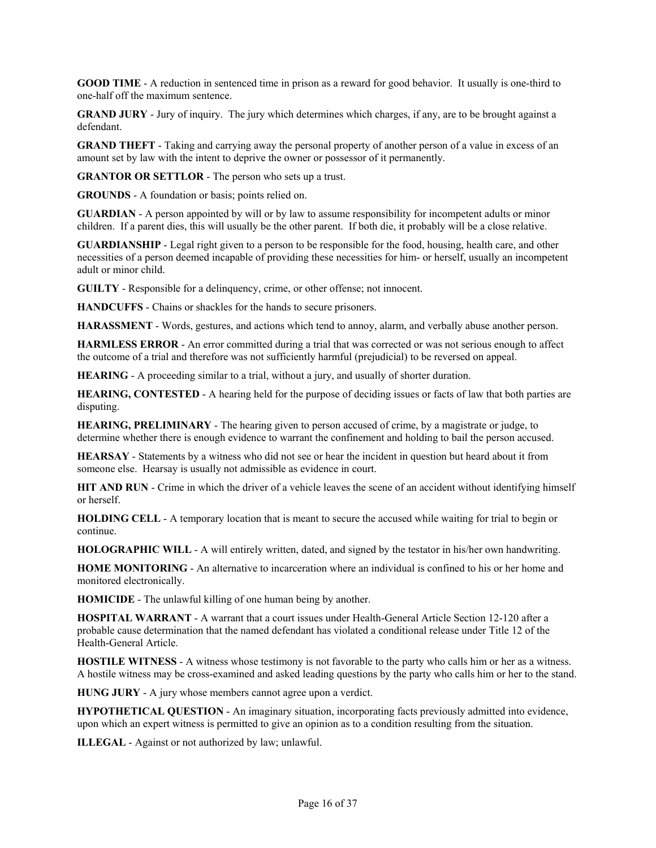**GOOD TIME** - A reduction in sentenced time in prison as a reward for good behavior. It usually is one-third to one-half off the maximum sentence.

**GRAND JURY** - Jury of inquiry. The jury which determines which charges, if any, are to be brought against a defendant.

**GRAND THEFT** - Taking and carrying away the personal property of another person of a value in excess of an amount set by law with the intent to deprive the owner or possessor of it permanently.

**GRANTOR OR SETTLOR** - The person who sets up a trust.

**GROUNDS** - A foundation or basis; points relied on.

**GUARDIAN** - A person appointed by will or by law to assume responsibility for incompetent adults or minor children. If a parent dies, this will usually be the other parent. If both die, it probably will be a close relative.

**GUARDIANSHIP** - Legal right given to a person to be responsible for the food, housing, health care, and other necessities of a person deemed incapable of providing these necessities for him- or herself, usually an incompetent adult or minor child.

**GUILTY** - Responsible for a delinquency, crime, or other offense; not innocent.

**HANDCUFFS** - Chains or shackles for the hands to secure prisoners.

**HARASSMENT** - Words, gestures, and actions which tend to annoy, alarm, and verbally abuse another person.

**HARMLESS ERROR** - An error committed during a trial that was corrected or was not serious enough to affect the outcome of a trial and therefore was not sufficiently harmful (prejudicial) to be reversed on appeal.

**HEARING** - A proceeding similar to a trial, without a jury, and usually of shorter duration.

**HEARING, CONTESTED** - A hearing held for the purpose of deciding issues or facts of law that both parties are disputing.

**HEARING, PRELIMINARY** - The hearing given to person accused of crime, by a magistrate or judge, to determine whether there is enough evidence to warrant the confinement and holding to bail the person accused.

**HEARSAY** - Statements by a witness who did not see or hear the incident in question but heard about it from someone else. Hearsay is usually not admissible as evidence in court.

**HIT AND RUN** - Crime in which the driver of a vehicle leaves the scene of an accident without identifying himself or herself.

**HOLDING CELL** - A temporary location that is meant to secure the accused while waiting for trial to begin or continue.

**HOLOGRAPHIC WILL** - A will entirely written, dated, and signed by the testator in his/her own handwriting.

**HOME MONITORING** - An alternative to incarceration where an individual is confined to his or her home and monitored electronically.

**HOMICIDE** - The unlawful killing of one human being by another.

**HOSPITAL WARRANT** - A warrant that a court issues under Health-General Article Section 12-120 after a probable cause determination that the named defendant has violated a conditional release under Title 12 of the Health-General Article.

**HOSTILE WITNESS** - A witness whose testimony is not favorable to the party who calls him or her as a witness. A hostile witness may be cross-examined and asked leading questions by the party who calls him or her to the stand.

**HUNG JURY** - A jury whose members cannot agree upon a verdict.

**HYPOTHETICAL QUESTION** - An imaginary situation, incorporating facts previously admitted into evidence, upon which an expert witness is permitted to give an opinion as to a condition resulting from the situation.

**ILLEGAL** - Against or not authorized by law; unlawful.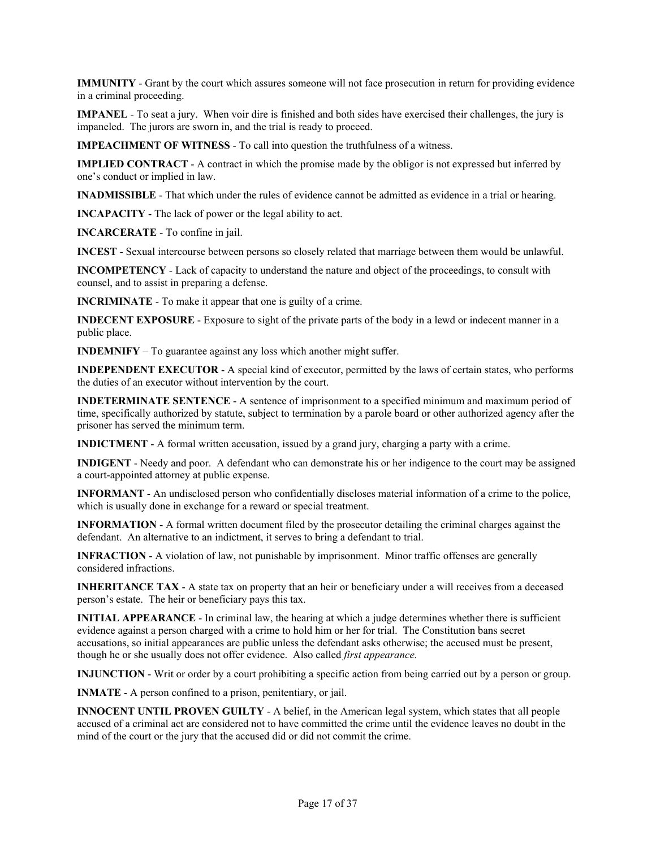**IMMUNITY** - Grant by the court which assures someone will not face prosecution in return for providing evidence in a criminal proceeding.

**IMPANEL** - To seat a jury. When voir dire is finished and both sides have exercised their challenges, the jury is impaneled. The jurors are sworn in, and the trial is ready to proceed.

**IMPEACHMENT OF WITNESS** - To call into question the truthfulness of a witness.

**IMPLIED CONTRACT** - A contract in which the promise made by the obligor is not expressed but inferred by one's conduct or implied in law.

**INADMISSIBLE** - That which under the rules of evidence cannot be admitted as evidence in a trial or hearing.

**INCAPACITY** - The lack of power or the legal ability to act.

**INCARCERATE** - To confine in jail.

**INCEST** - Sexual intercourse between persons so closely related that marriage between them would be unlawful.

**INCOMPETENCY** - Lack of capacity to understand the nature and object of the proceedings, to consult with counsel, and to assist in preparing a defense.

**INCRIMINATE** - To make it appear that one is guilty of a crime.

**INDECENT EXPOSURE** - Exposure to sight of the private parts of the body in a lewd or indecent manner in a public place.

**INDEMNIFY** – To guarantee against any loss which another might suffer.

**INDEPENDENT EXECUTOR** - A special kind of executor, permitted by the laws of certain states, who performs the duties of an executor without intervention by the court.

**INDETERMINATE SENTENCE** - A sentence of imprisonment to a specified minimum and maximum period of time, specifically authorized by statute, subject to termination by a parole board or other authorized agency after the prisoner has served the minimum term.

**INDICTMENT** - A formal written accusation, issued by a grand jury, charging a party with a crime.

**INDIGENT** - Needy and poor. A defendant who can demonstrate his or her indigence to the court may be assigned a court-appointed attorney at public expense.

**INFORMANT** - An undisclosed person who confidentially discloses material information of a crime to the police, which is usually done in exchange for a reward or special treatment.

**INFORMATION** - A formal written document filed by the prosecutor detailing the criminal charges against the defendant. An alternative to an indictment, it serves to bring a defendant to trial.

**INFRACTION** - A violation of law, not punishable by imprisonment. Minor traffic offenses are generally considered infractions.

**INHERITANCE TAX** - A state tax on property that an heir or beneficiary under a will receives from a deceased person's estate. The heir or beneficiary pays this tax.

**INITIAL APPEARANCE** - In criminal law, the hearing at which a judge determines whether there is sufficient evidence against a person charged with a crime to hold him or her for trial. The Constitution bans secret accusations, so initial appearances are public unless the defendant asks otherwise; the accused must be present, though he or she usually does not offer evidence. Also called *first appearance.* 

**INJUNCTION** - Writ or order by a court prohibiting a specific action from being carried out by a person or group.

**INMATE** - A person confined to a prison, penitentiary, or jail.

**INNOCENT UNTIL PROVEN GUILTY** - A belief, in the American legal system, which states that all people accused of a criminal act are considered not to have committed the crime until the evidence leaves no doubt in the mind of the court or the jury that the accused did or did not commit the crime.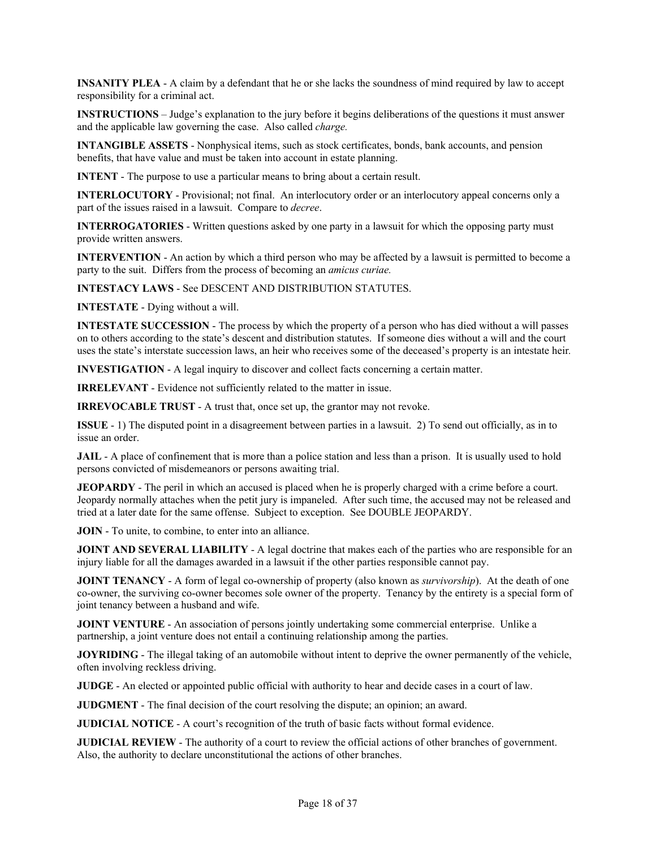**INSANITY PLEA** - A claim by a defendant that he or she lacks the soundness of mind required by law to accept responsibility for a criminal act.

**INSTRUCTIONS** – Judge's explanation to the jury before it begins deliberations of the questions it must answer and the applicable law governing the case. Also called *charge.* 

**INTANGIBLE ASSETS** - Nonphysical items, such as stock certificates, bonds, bank accounts, and pension benefits, that have value and must be taken into account in estate planning.

**INTENT** - The purpose to use a particular means to bring about a certain result.

**INTERLOCUTORY** - Provisional; not final. An interlocutory order or an interlocutory appeal concerns only a part of the issues raised in a lawsuit. Compare to *decree*.

**INTERROGATORIES** - Written questions asked by one party in a lawsuit for which the opposing party must provide written answers.

**INTERVENTION** - An action by which a third person who may be affected by a lawsuit is permitted to become a party to the suit. Differs from the process of becoming an *amicus curiae.* 

**INTESTACY LAWS** - See DESCENT AND DISTRIBUTION STATUTES.

**INTESTATE** - Dying without a will.

**INTESTATE SUCCESSION** - The process by which the property of a person who has died without a will passes on to others according to the state's descent and distribution statutes. If someone dies without a will and the court uses the state's interstate succession laws, an heir who receives some of the deceased's property is an intestate heir*.* 

**INVESTIGATION** - A legal inquiry to discover and collect facts concerning a certain matter.

**IRRELEVANT** - Evidence not sufficiently related to the matter in issue.

**IRREVOCABLE TRUST** - A trust that, once set up, the grantor may not revoke.

**ISSUE** - 1) The disputed point in a disagreement between parties in a lawsuit. 2) To send out officially, as in to issue an order.

**JAIL** - A place of confinement that is more than a police station and less than a prison. It is usually used to hold persons convicted of misdemeanors or persons awaiting trial.

**JEOPARDY** - The peril in which an accused is placed when he is properly charged with a crime before a court. Jeopardy normally attaches when the petit jury is impaneled. After such time, the accused may not be released and tried at a later date for the same offense. Subject to exception. See DOUBLE JEOPARDY.

**JOIN** - To unite, to combine, to enter into an alliance.

**JOINT AND SEVERAL LIABILITY** - A legal doctrine that makes each of the parties who are responsible for an injury liable for all the damages awarded in a lawsuit if the other parties responsible cannot pay.

**JOINT TENANCY** - A form of legal co-ownership of property (also known as *survivorship*). At the death of one co-owner, the surviving co-owner becomes sole owner of the property. Tenancy by the entirety is a special form of joint tenancy between a husband and wife.

**JOINT VENTURE** - An association of persons jointly undertaking some commercial enterprise. Unlike a partnership, a joint venture does not entail a continuing relationship among the parties.

**JOYRIDING** - The illegal taking of an automobile without intent to deprive the owner permanently of the vehicle, often involving reckless driving.

**JUDGE** - An elected or appointed public official with authority to hear and decide cases in a court of law.

**JUDGMENT** - The final decision of the court resolving the dispute; an opinion; an award.

**JUDICIAL NOTICE** - A court's recognition of the truth of basic facts without formal evidence.

**JUDICIAL REVIEW** - The authority of a court to review the official actions of other branches of government. Also, the authority to declare unconstitutional the actions of other branches.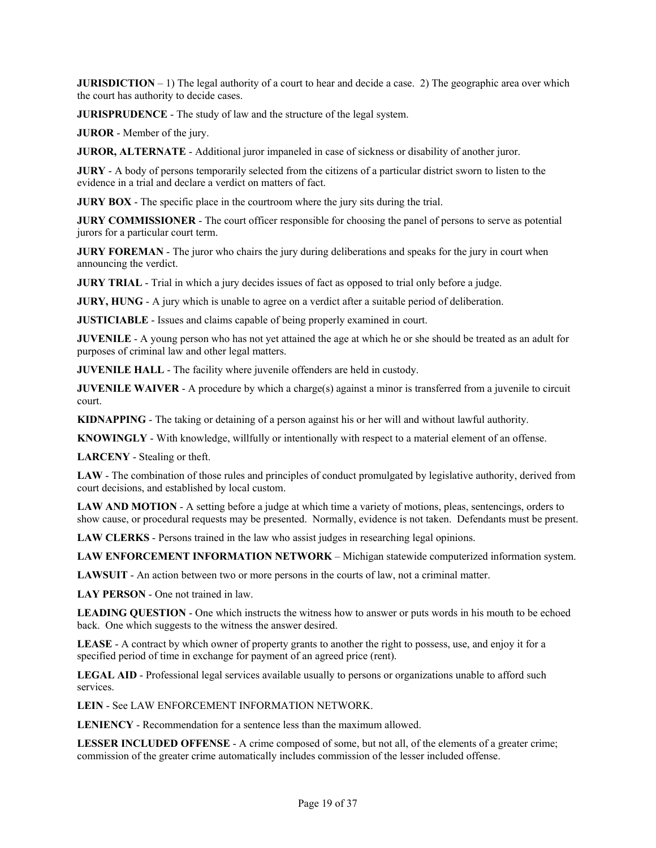**JURISDICTION** – 1) The legal authority of a court to hear and decide a case. 2) The geographic area over which the court has authority to decide cases.

**JURISPRUDENCE** - The study of law and the structure of the legal system.

**JUROR** - Member of the jury.

**JUROR, ALTERNATE** - Additional juror impaneled in case of sickness or disability of another juror.

**JURY** - A body of persons temporarily selected from the citizens of a particular district sworn to listen to the evidence in a trial and declare a verdict on matters of fact.

**JURY BOX** - The specific place in the courtroom where the jury sits during the trial.

**JURY COMMISSIONER** - The court officer responsible for choosing the panel of persons to serve as potential jurors for a particular court term.

**JURY FOREMAN** - The juror who chairs the jury during deliberations and speaks for the jury in court when announcing the verdict.

**JURY TRIAL** - Trial in which a jury decides issues of fact as opposed to trial only before a judge.

**JURY, HUNG** - A jury which is unable to agree on a verdict after a suitable period of deliberation.

**JUSTICIABLE** - Issues and claims capable of being properly examined in court.

**JUVENILE** - A young person who has not yet attained the age at which he or she should be treated as an adult for purposes of criminal law and other legal matters.

**JUVENILE HALL** - The facility where juvenile offenders are held in custody.

**JUVENILE WAIVER** - A procedure by which a charge(s) against a minor is transferred from a juvenile to circuit court.

**KIDNAPPING** - The taking or detaining of a person against his or her will and without lawful authority.

**KNOWINGLY** - With knowledge, willfully or intentionally with respect to a material element of an offense.

**LARCENY** - Stealing or theft.

**LAW** - The combination of those rules and principles of conduct promulgated by legislative authority, derived from court decisions, and established by local custom.

**LAW AND MOTION** - A setting before a judge at which time a variety of motions, pleas, sentencings, orders to show cause, or procedural requests may be presented. Normally, evidence is not taken. Defendants must be present.

**LAW CLERKS** - Persons trained in the law who assist judges in researching legal opinions.

**LAW ENFORCEMENT INFORMATION NETWORK** – Michigan statewide computerized information system.

**LAWSUIT** - An action between two or more persons in the courts of law, not a criminal matter.

**LAY PERSON** - One not trained in law.

**LEADING QUESTION** - One which instructs the witness how to answer or puts words in his mouth to be echoed back. One which suggests to the witness the answer desired.

**LEASE** - A contract by which owner of property grants to another the right to possess, use, and enjoy it for a specified period of time in exchange for payment of an agreed price (rent).

**LEGAL AID** - Professional legal services available usually to persons or organizations unable to afford such services.

**LEIN** - See LAW ENFORCEMENT INFORMATION NETWORK.

**LENIENCY** - Recommendation for a sentence less than the maximum allowed.

**LESSER INCLUDED OFFENSE** - A crime composed of some, but not all, of the elements of a greater crime; commission of the greater crime automatically includes commission of the lesser included offense.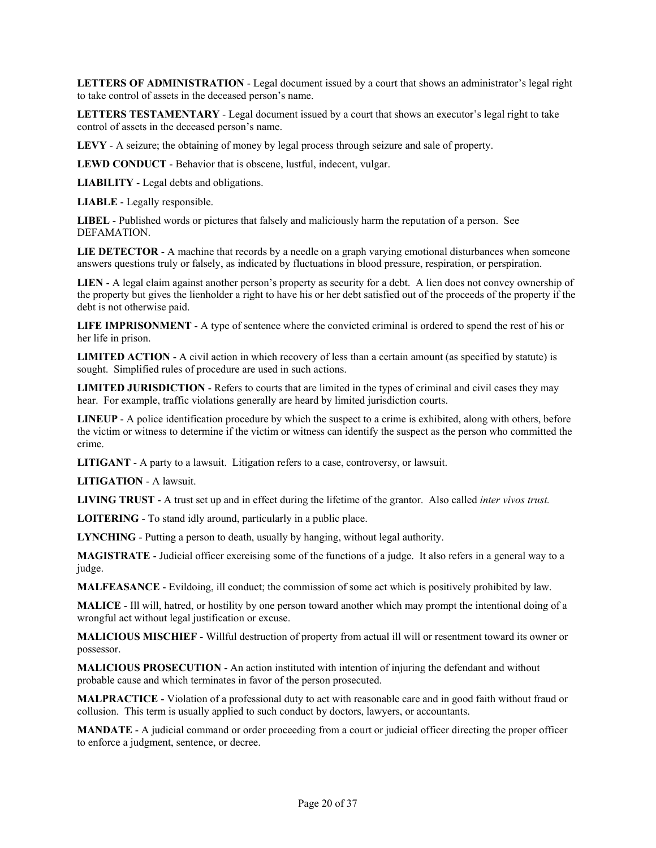**LETTERS OF ADMINISTRATION** - Legal document issued by a court that shows an administrator's legal right to take control of assets in the deceased person's name.

**LETTERS TESTAMENTARY** - Legal document issued by a court that shows an executor's legal right to take control of assets in the deceased person's name.

**LEVY** - A seizure; the obtaining of money by legal process through seizure and sale of property.

**LEWD CONDUCT** - Behavior that is obscene, lustful, indecent, vulgar.

**LIABILITY** - Legal debts and obligations.

**LIABLE** - Legally responsible.

**LIBEL** - Published words or pictures that falsely and maliciously harm the reputation of a person. See DEFAMATION.

**LIE DETECTOR** - A machine that records by a needle on a graph varying emotional disturbances when someone answers questions truly or falsely, as indicated by fluctuations in blood pressure, respiration, or perspiration.

**LIEN** - A legal claim against another person's property as security for a debt. A lien does not convey ownership of the property but gives the lienholder a right to have his or her debt satisfied out of the proceeds of the property if the debt is not otherwise paid.

**LIFE IMPRISONMENT** - A type of sentence where the convicted criminal is ordered to spend the rest of his or her life in prison.

**LIMITED ACTION** - A civil action in which recovery of less than a certain amount (as specified by statute) is sought. Simplified rules of procedure are used in such actions.

**LIMITED JURISDICTION** - Refers to courts that are limited in the types of criminal and civil cases they may hear. For example, traffic violations generally are heard by limited jurisdiction courts.

**LINEUP** - A police identification procedure by which the suspect to a crime is exhibited, along with others, before the victim or witness to determine if the victim or witness can identify the suspect as the person who committed the crime.

**LITIGANT** - A party to a lawsuit. Litigation refers to a case, controversy, or lawsuit.

**LITIGATION** - A lawsuit.

**LIVING TRUST** - A trust set up and in effect during the lifetime of the grantor. Also called *inter vivos trust.* 

**LOITERING** - To stand idly around, particularly in a public place.

**LYNCHING** - Putting a person to death, usually by hanging, without legal authority.

**MAGISTRATE** - Judicial officer exercising some of the functions of a judge. It also refers in a general way to a judge.

**MALFEASANCE** - Evildoing, ill conduct; the commission of some act which is positively prohibited by law.

**MALICE** - Ill will, hatred, or hostility by one person toward another which may prompt the intentional doing of a wrongful act without legal justification or excuse.

**MALICIOUS MISCHIEF** - Willful destruction of property from actual ill will or resentment toward its owner or possessor.

**MALICIOUS PROSECUTION** - An action instituted with intention of injuring the defendant and without probable cause and which terminates in favor of the person prosecuted.

**MALPRACTICE** - Violation of a professional duty to act with reasonable care and in good faith without fraud or collusion. This term is usually applied to such conduct by doctors, lawyers, or accountants.

**MANDATE** - A judicial command or order proceeding from a court or judicial officer directing the proper officer to enforce a judgment, sentence, or decree.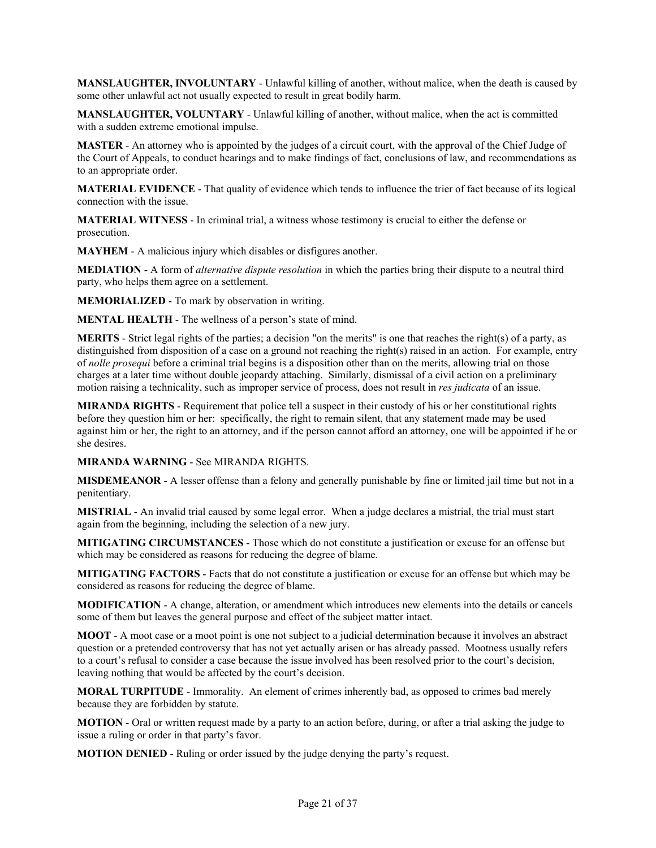**MANSLAUGHTER, INVOLUNTARY** - Unlawful killing of another, without malice, when the death is caused by some other unlawful act not usually expected to result in great bodily harm.

**MANSLAUGHTER, VOLUNTARY** - Unlawful killing of another, without malice, when the act is committed with a sudden extreme emotional impulse.

**MASTER** - An attorney who is appointed by the judges of a circuit court, with the approval of the Chief Judge of the Court of Appeals, to conduct hearings and to make findings of fact, conclusions of law, and recommendations as to an appropriate order.

**MATERIAL EVIDENCE** - That quality of evidence which tends to influence the trier of fact because of its logical connection with the issue.

**MATERIAL WITNESS** - In criminal trial, a witness whose testimony is crucial to either the defense or prosecution.

**MAYHEM** - A malicious injury which disables or disfigures another.

**MEDIATION** - A form of *alternative dispute resolution* in which the parties bring their dispute to a neutral third party, who helps them agree on a settlement.

**MEMORIALIZED** - To mark by observation in writing.

**MENTAL HEALTH** - The wellness of a person's state of mind.

**MERITS** - Strict legal rights of the parties; a decision "on the merits" is one that reaches the right(s) of a party, as distinguished from disposition of a case on a ground not reaching the right(s) raised in an action. For example, entry of *nolle prosequi* before a criminal trial begins is a disposition other than on the merits, allowing trial on those charges at a later time without double jeopardy attaching. Similarly, dismissal of a civil action on a preliminary motion raising a technicality, such as improper service of process, does not result in *res judicata* of an issue.

**MIRANDA RIGHTS** - Requirement that police tell a suspect in their custody of his or her constitutional rights before they question him or her: specifically, the right to remain silent, that any statement made may be used against him or her, the right to an attorney, and if the person cannot afford an attorney, one will be appointed if he or she desires.

## **MIRANDA WARNING** - See MIRANDA RIGHTS.

**MISDEMEANOR** - A lesser offense than a felony and generally punishable by fine or limited jail time but not in a penitentiary.

**MISTRIAL** - An invalid trial caused by some legal error. When a judge declares a mistrial, the trial must start again from the beginning, including the selection of a new jury.

**MITIGATING CIRCUMSTANCES** - Those which do not constitute a justification or excuse for an offense but which may be considered as reasons for reducing the degree of blame.

**MITIGATING FACTORS** - Facts that do not constitute a justification or excuse for an offense but which may be considered as reasons for reducing the degree of blame.

**MODIFICATION** - A change, alteration, or amendment which introduces new elements into the details or cancels some of them but leaves the general purpose and effect of the subject matter intact.

**MOOT** - A moot case or a moot point is one not subject to a judicial determination because it involves an abstract question or a pretended controversy that has not yet actually arisen or has already passed. Mootness usually refers to a court's refusal to consider a case because the issue involved has been resolved prior to the court's decision, leaving nothing that would be affected by the court's decision.

**MORAL TURPITUDE** - Immorality. An element of crimes inherently bad, as opposed to crimes bad merely because they are forbidden by statute.

**MOTION** - Oral or written request made by a party to an action before, during, or after a trial asking the judge to issue a ruling or order in that party's favor.

**MOTION DENIED** - Ruling or order issued by the judge denying the party's request.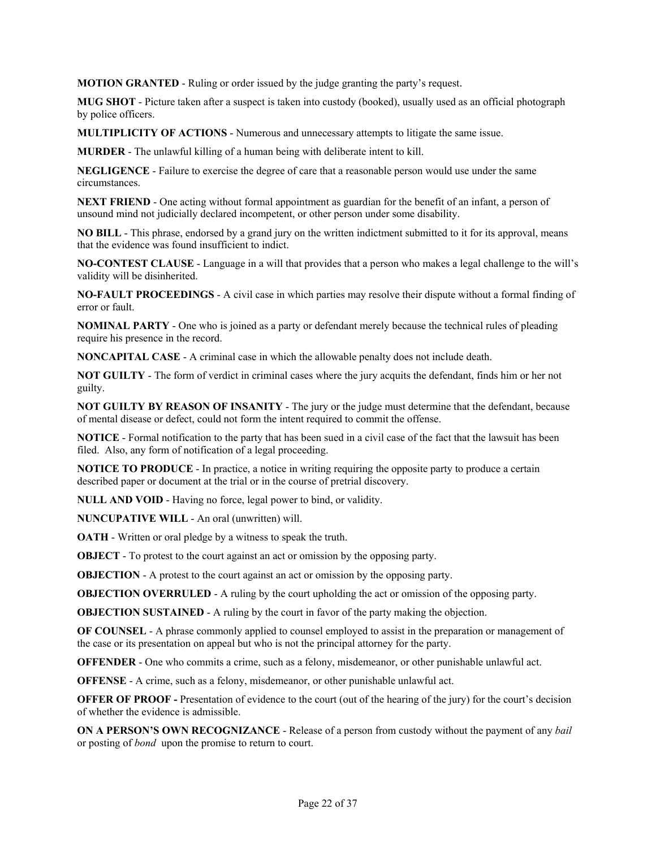**MOTION GRANTED** - Ruling or order issued by the judge granting the party's request.

**MUG SHOT** - Picture taken after a suspect is taken into custody (booked), usually used as an official photograph by police officers.

**MULTIPLICITY OF ACTIONS** - Numerous and unnecessary attempts to litigate the same issue.

**MURDER** - The unlawful killing of a human being with deliberate intent to kill.

**NEGLIGENCE** - Failure to exercise the degree of care that a reasonable person would use under the same circumstances.

**NEXT FRIEND** - One acting without formal appointment as guardian for the benefit of an infant, a person of unsound mind not judicially declared incompetent, or other person under some disability.

**NO BILL** - This phrase, endorsed by a grand jury on the written indictment submitted to it for its approval, means that the evidence was found insufficient to indict.

**NO-CONTEST CLAUSE** - Language in a will that provides that a person who makes a legal challenge to the will's validity will be disinherited.

**NO-FAULT PROCEEDINGS** - A civil case in which parties may resolve their dispute without a formal finding of error or fault.

**NOMINAL PARTY** - One who is joined as a party or defendant merely because the technical rules of pleading require his presence in the record.

**NONCAPITAL CASE** - A criminal case in which the allowable penalty does not include death.

**NOT GUILTY** - The form of verdict in criminal cases where the jury acquits the defendant, finds him or her not guilty.

**NOT GUILTY BY REASON OF INSANITY** - The jury or the judge must determine that the defendant, because of mental disease or defect, could not form the intent required to commit the offense.

**NOTICE** - Formal notification to the party that has been sued in a civil case of the fact that the lawsuit has been filed. Also, any form of notification of a legal proceeding.

**NOTICE TO PRODUCE** - In practice, a notice in writing requiring the opposite party to produce a certain described paper or document at the trial or in the course of pretrial discovery.

**NULL AND VOID** - Having no force, legal power to bind, or validity.

**NUNCUPATIVE WILL** - An oral (unwritten) will.

**OATH** - Written or oral pledge by a witness to speak the truth.

**OBJECT** - To protest to the court against an act or omission by the opposing party.

**OBJECTION** - A protest to the court against an act or omission by the opposing party.

**OBJECTION OVERRULED** - A ruling by the court upholding the act or omission of the opposing party.

**OBJECTION SUSTAINED** - A ruling by the court in favor of the party making the objection.

**OF COUNSEL** - A phrase commonly applied to counsel employed to assist in the preparation or management of the case or its presentation on appeal but who is not the principal attorney for the party.

**OFFENDER** - One who commits a crime, such as a felony, misdemeanor, or other punishable unlawful act.

**OFFENSE** - A crime, such as a felony, misdemeanor, or other punishable unlawful act.

**OFFER OF PROOF -** Presentation of evidence to the court (out of the hearing of the jury) for the court's decision of whether the evidence is admissible.

**ON A PERSON'S OWN RECOGNIZANCE** - Release of a person from custody without the payment of any *bail*  or posting of *bond* upon the promise to return to court.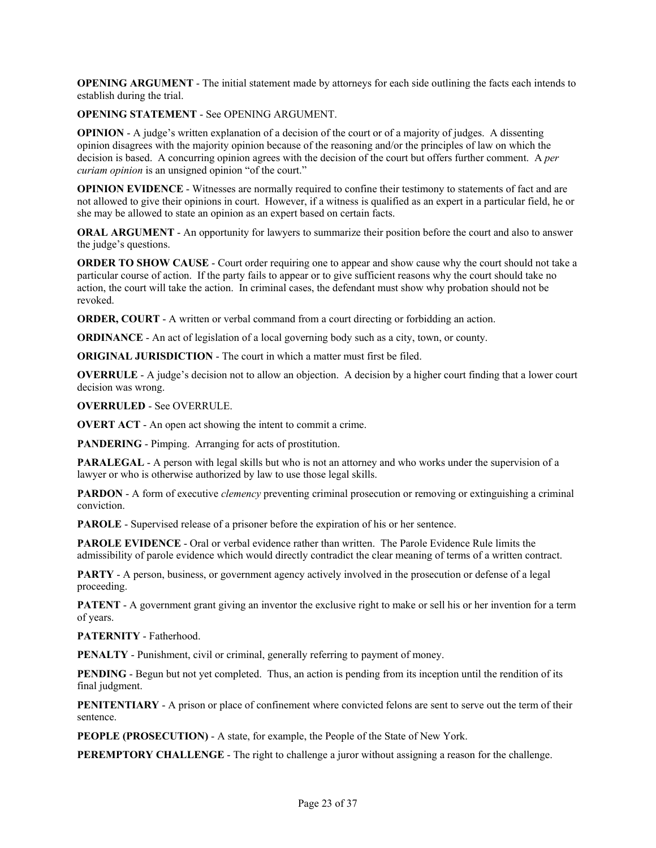**OPENING ARGUMENT** - The initial statement made by attorneys for each side outlining the facts each intends to establish during the trial.

**OPENING STATEMENT** - See OPENING ARGUMENT.

**OPINION** - A judge's written explanation of a decision of the court or of a majority of judges. A dissenting opinion disagrees with the majority opinion because of the reasoning and/or the principles of law on which the decision is based. A concurring opinion agrees with the decision of the court but offers further comment. A *per curiam opinion* is an unsigned opinion "of the court."

**OPINION EVIDENCE** - Witnesses are normally required to confine their testimony to statements of fact and are not allowed to give their opinions in court. However, if a witness is qualified as an expert in a particular field, he or she may be allowed to state an opinion as an expert based on certain facts.

**ORAL ARGUMENT** - An opportunity for lawyers to summarize their position before the court and also to answer the judge's questions.

**ORDER TO SHOW CAUSE** - Court order requiring one to appear and show cause why the court should not take a particular course of action. If the party fails to appear or to give sufficient reasons why the court should take no action, the court will take the action. In criminal cases, the defendant must show why probation should not be revoked.

**ORDER, COURT** - A written or verbal command from a court directing or forbidding an action.

**ORDINANCE** - An act of legislation of a local governing body such as a city, town, or county.

**ORIGINAL JURISDICTION** - The court in which a matter must first be filed.

**OVERRULE** - A judge's decision not to allow an objection. A decision by a higher court finding that a lower court decision was wrong.

**OVERRULED** - See OVERRULE.

**OVERT ACT** - An open act showing the intent to commit a crime.

**PANDERING** - Pimping. Arranging for acts of prostitution.

**PARALEGAL** - A person with legal skills but who is not an attorney and who works under the supervision of a lawyer or who is otherwise authorized by law to use those legal skills.

**PARDON** - A form of executive *clemency* preventing criminal prosecution or removing or extinguishing a criminal conviction.

**PAROLE** - Supervised release of a prisoner before the expiration of his or her sentence.

**PAROLE EVIDENCE** - Oral or verbal evidence rather than written. The Parole Evidence Rule limits the admissibility of parole evidence which would directly contradict the clear meaning of terms of a written contract.

**PARTY** - A person, business, or government agency actively involved in the prosecution or defense of a legal proceeding.

**PATENT** - A government grant giving an inventor the exclusive right to make or sell his or her invention for a term of years.

**PATERNITY** - Fatherhood.

**PENALTY** - Punishment, civil or criminal, generally referring to payment of money.

**PENDING** - Begun but not yet completed. Thus, an action is pending from its inception until the rendition of its final judgment.

**PENITENTIARY** - A prison or place of confinement where convicted felons are sent to serve out the term of their sentence.

**PEOPLE (PROSECUTION)** - A state, for example, the People of the State of New York.

**PEREMPTORY CHALLENGE** - The right to challenge a juror without assigning a reason for the challenge.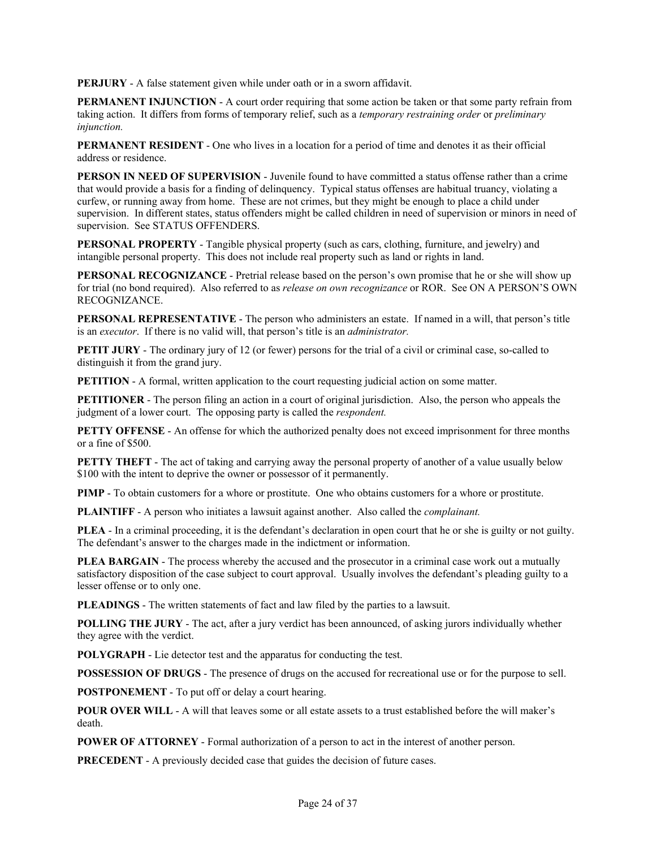**PERJURY** - A false statement given while under oath or in a sworn affidavit.

**PERMANENT INJUNCTION** - A court order requiring that some action be taken or that some party refrain from taking action. It differs from forms of temporary relief, such as a *temporary restraining order* or *preliminary injunction.* 

**PERMANENT RESIDENT** - One who lives in a location for a period of time and denotes it as their official address or residence.

**PERSON IN NEED OF SUPERVISION** - Juvenile found to have committed a status offense rather than a crime that would provide a basis for a finding of delinquency. Typical status offenses are habitual truancy, violating a curfew, or running away from home. These are not crimes, but they might be enough to place a child under supervision. In different states, status offenders might be called children in need of supervision or minors in need of supervision. See STATUS OFFENDERS.

**PERSONAL PROPERTY** - Tangible physical property (such as cars, clothing, furniture, and jewelry) and intangible personal property. This does not include real property such as land or rights in land.

**PERSONAL RECOGNIZANCE** - Pretrial release based on the person's own promise that he or she will show up for trial (no bond required). Also referred to as *release on own recognizance* or ROR. See ON A PERSON'S OWN RECOGNIZANCE.

**PERSONAL REPRESENTATIVE** - The person who administers an estate. If named in a will, that person's title is an *executor*. If there is no valid will, that person's title is an *administrator.* 

**PETIT JURY** - The ordinary jury of 12 (or fewer) persons for the trial of a civil or criminal case, so-called to distinguish it from the grand jury.

**PETITION** - A formal, written application to the court requesting judicial action on some matter.

**PETITIONER** - The person filing an action in a court of original jurisdiction. Also, the person who appeals the judgment of a lower court. The opposing party is called the *respondent.* 

**PETTY OFFENSE** - An offense for which the authorized penalty does not exceed imprisonment for three months or a fine of \$500.

**PETTY THEFT** - The act of taking and carrying away the personal property of another of a value usually below \$100 with the intent to deprive the owner or possessor of it permanently.

**PIMP** - To obtain customers for a whore or prostitute. One who obtains customers for a whore or prostitute.

**PLAINTIFF** - A person who initiates a lawsuit against another. Also called the *complainant.* 

**PLEA** - In a criminal proceeding, it is the defendant's declaration in open court that he or she is guilty or not guilty. The defendant's answer to the charges made in the indictment or information.

**PLEA BARGAIN** - The process whereby the accused and the prosecutor in a criminal case work out a mutually satisfactory disposition of the case subject to court approval. Usually involves the defendant's pleading guilty to a lesser offense or to only one.

**PLEADINGS** - The written statements of fact and law filed by the parties to a lawsuit.

**POLLING THE JURY** - The act, after a jury verdict has been announced, of asking jurors individually whether they agree with the verdict.

**POLYGRAPH** - Lie detector test and the apparatus for conducting the test.

**POSSESSION OF DRUGS** - The presence of drugs on the accused for recreational use or for the purpose to sell.

**POSTPONEMENT** - To put off or delay a court hearing.

**POUR OVER WILL** - A will that leaves some or all estate assets to a trust established before the will maker's death.

**POWER OF ATTORNEY** - Formal authorization of a person to act in the interest of another person.

**PRECEDENT** - A previously decided case that guides the decision of future cases.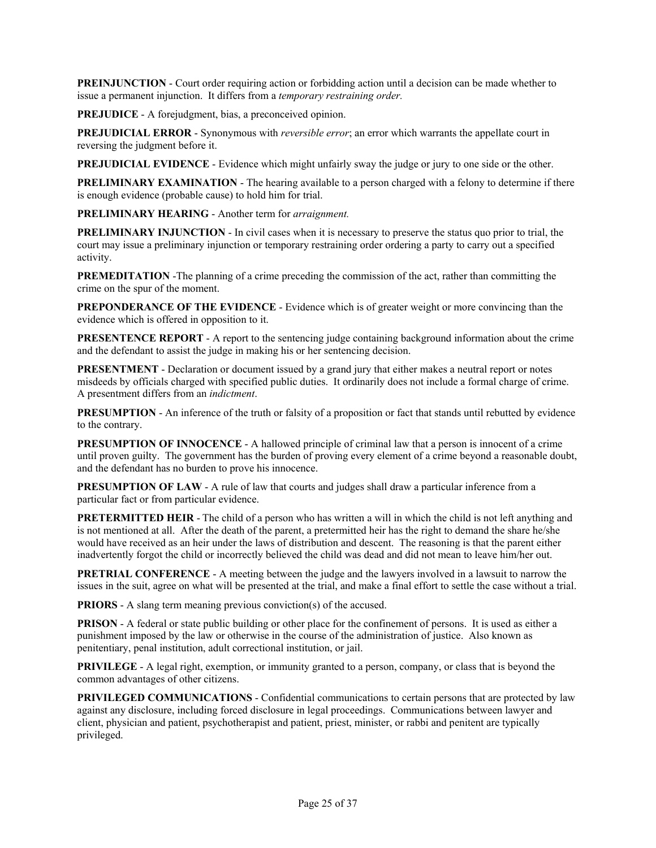**PREINJUNCTION** - Court order requiring action or forbidding action until a decision can be made whether to issue a permanent injunction. It differs from a *temporary restraining order.* 

**PREJUDICE** - A forejudgment, bias, a preconceived opinion.

**PREJUDICIAL ERROR** - Synonymous with *reversible error*; an error which warrants the appellate court in reversing the judgment before it.

**PREJUDICIAL EVIDENCE** - Evidence which might unfairly sway the judge or jury to one side or the other.

**PRELIMINARY EXAMINATION** - The hearing available to a person charged with a felony to determine if there is enough evidence (probable cause) to hold him for trial.

**PRELIMINARY HEARING** - Another term for *arraignment.* 

**PRELIMINARY INJUNCTION** - In civil cases when it is necessary to preserve the status quo prior to trial, the court may issue a preliminary injunction or temporary restraining order ordering a party to carry out a specified activity.

**PREMEDITATION** -The planning of a crime preceding the commission of the act, rather than committing the crime on the spur of the moment.

**PREPONDERANCE OF THE EVIDENCE** - Evidence which is of greater weight or more convincing than the evidence which is offered in opposition to it.

**PRESENTENCE REPORT** - A report to the sentencing judge containing background information about the crime and the defendant to assist the judge in making his or her sentencing decision.

**PRESENTMENT** - Declaration or document issued by a grand jury that either makes a neutral report or notes misdeeds by officials charged with specified public duties. It ordinarily does not include a formal charge of crime. A presentment differs from an *indictment*.

**PRESUMPTION** - An inference of the truth or falsity of a proposition or fact that stands until rebutted by evidence to the contrary.

**PRESUMPTION OF INNOCENCE** - A hallowed principle of criminal law that a person is innocent of a crime until proven guilty. The government has the burden of proving every element of a crime beyond a reasonable doubt, and the defendant has no burden to prove his innocence.

**PRESUMPTION OF LAW - A rule of law that courts and judges shall draw a particular inference from a** particular fact or from particular evidence.

**PRETERMITTED HEIR** - The child of a person who has written a will in which the child is not left anything and is not mentioned at all. After the death of the parent, a pretermitted heir has the right to demand the share he/she would have received as an heir under the laws of distribution and descent. The reasoning is that the parent either inadvertently forgot the child or incorrectly believed the child was dead and did not mean to leave him/her out.

**PRETRIAL CONFERENCE** - A meeting between the judge and the lawyers involved in a lawsuit to narrow the issues in the suit, agree on what will be presented at the trial, and make a final effort to settle the case without a trial.

**PRIORS** - A slang term meaning previous conviction(s) of the accused.

**PRISON** - A federal or state public building or other place for the confinement of persons. It is used as either a punishment imposed by the law or otherwise in the course of the administration of justice. Also known as penitentiary, penal institution, adult correctional institution, or jail.

**PRIVILEGE** - A legal right, exemption, or immunity granted to a person, company, or class that is beyond the common advantages of other citizens.

**PRIVILEGED COMMUNICATIONS** - Confidential communications to certain persons that are protected by law against any disclosure, including forced disclosure in legal proceedings. Communications between lawyer and client, physician and patient, psychotherapist and patient, priest, minister, or rabbi and penitent are typically privileged.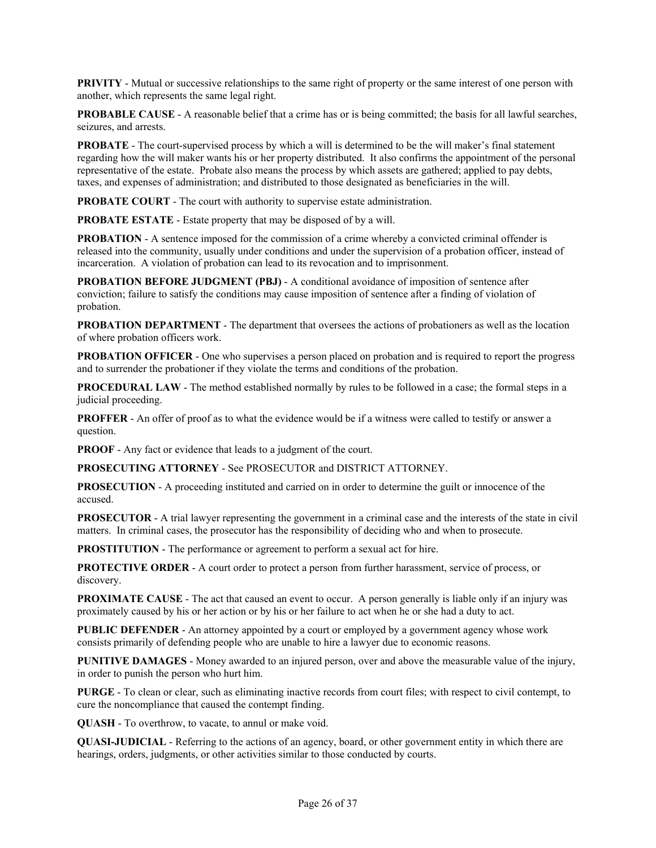**PRIVITY** - Mutual or successive relationships to the same right of property or the same interest of one person with another, which represents the same legal right.

**PROBABLE CAUSE** - A reasonable belief that a crime has or is being committed; the basis for all lawful searches, seizures, and arrests.

**PROBATE** - The court-supervised process by which a will is determined to be the will maker's final statement regarding how the will maker wants his or her property distributed. It also confirms the appointment of the personal representative of the estate. Probate also means the process by which assets are gathered; applied to pay debts, taxes, and expenses of administration; and distributed to those designated as beneficiaries in the will.

**PROBATE COURT** - The court with authority to supervise estate administration.

**PROBATE ESTATE** - Estate property that may be disposed of by a will.

**PROBATION** - A sentence imposed for the commission of a crime whereby a convicted criminal offender is released into the community, usually under conditions and under the supervision of a probation officer, instead of incarceration. A violation of probation can lead to its revocation and to imprisonment.

**PROBATION BEFORE JUDGMENT (PBJ)** - A conditional avoidance of imposition of sentence after conviction; failure to satisfy the conditions may cause imposition of sentence after a finding of violation of probation.

**PROBATION DEPARTMENT** - The department that oversees the actions of probationers as well as the location of where probation officers work.

**PROBATION OFFICER** - One who supervises a person placed on probation and is required to report the progress and to surrender the probationer if they violate the terms and conditions of the probation.

**PROCEDURAL LAW** - The method established normally by rules to be followed in a case; the formal steps in a judicial proceeding.

**PROFFER** - An offer of proof as to what the evidence would be if a witness were called to testify or answer a question.

**PROOF** - Any fact or evidence that leads to a judgment of the court.

**PROSECUTING ATTORNEY** - See PROSECUTOR and DISTRICT ATTORNEY.

**PROSECUTION** - A proceeding instituted and carried on in order to determine the guilt or innocence of the accused.

**PROSECUTOR** - A trial lawyer representing the government in a criminal case and the interests of the state in civil matters. In criminal cases, the prosecutor has the responsibility of deciding who and when to prosecute.

**PROSTITUTION** - The performance or agreement to perform a sexual act for hire.

**PROTECTIVE ORDER** - A court order to protect a person from further harassment, service of process, or discovery.

**PROXIMATE CAUSE** - The act that caused an event to occur. A person generally is liable only if an injury was proximately caused by his or her action or by his or her failure to act when he or she had a duty to act.

**PUBLIC DEFENDER** - An attorney appointed by a court or employed by a government agency whose work consists primarily of defending people who are unable to hire a lawyer due to economic reasons.

**PUNITIVE DAMAGES** - Money awarded to an injured person, over and above the measurable value of the injury, in order to punish the person who hurt him.

**PURGE** - To clean or clear, such as eliminating inactive records from court files; with respect to civil contempt, to cure the noncompliance that caused the contempt finding.

**QUASH** - To overthrow, to vacate, to annul or make void.

**QUASI-JUDICIAL** - Referring to the actions of an agency, board, or other government entity in which there are hearings, orders, judgments, or other activities similar to those conducted by courts.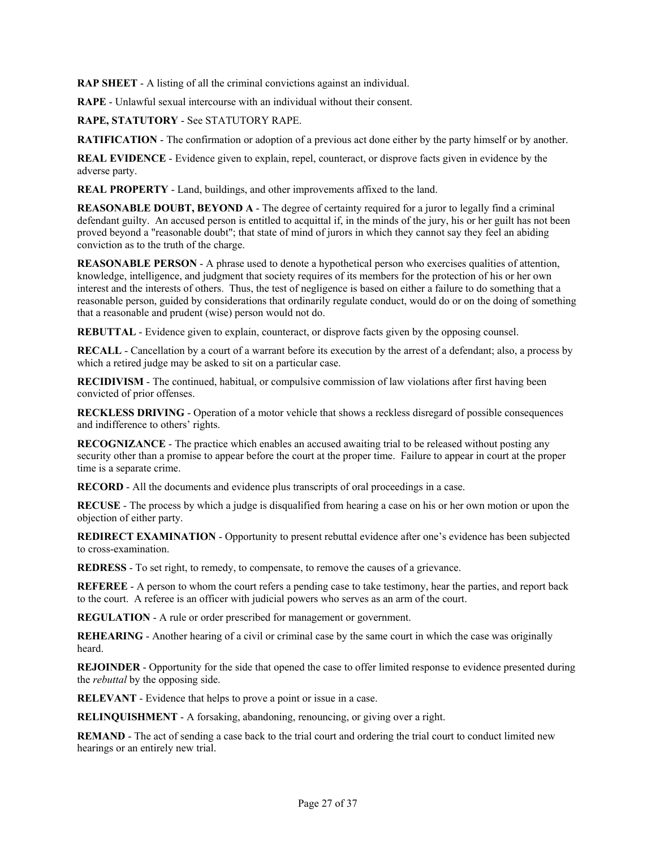**RAP SHEET** - A listing of all the criminal convictions against an individual.

**RAPE** - Unlawful sexual intercourse with an individual without their consent.

**RAPE, STATUTORY** - See STATUTORY RAPE.

**RATIFICATION** - The confirmation or adoption of a previous act done either by the party himself or by another.

**REAL EVIDENCE** - Evidence given to explain, repel, counteract, or disprove facts given in evidence by the adverse party.

**REAL PROPERTY** - Land, buildings, and other improvements affixed to the land.

**REASONABLE DOUBT, BEYOND A** - The degree of certainty required for a juror to legally find a criminal defendant guilty. An accused person is entitled to acquittal if, in the minds of the jury, his or her guilt has not been proved beyond a "reasonable doubt"; that state of mind of jurors in which they cannot say they feel an abiding conviction as to the truth of the charge.

**REASONABLE PERSON** - A phrase used to denote a hypothetical person who exercises qualities of attention, knowledge, intelligence, and judgment that society requires of its members for the protection of his or her own interest and the interests of others. Thus, the test of negligence is based on either a failure to do something that a reasonable person, guided by considerations that ordinarily regulate conduct, would do or on the doing of something that a reasonable and prudent (wise) person would not do.

**REBUTTAL** - Evidence given to explain, counteract, or disprove facts given by the opposing counsel.

**RECALL** - Cancellation by a court of a warrant before its execution by the arrest of a defendant; also, a process by which a retired judge may be asked to sit on a particular case.

**RECIDIVISM** - The continued, habitual, or compulsive commission of law violations after first having been convicted of prior offenses.

**RECKLESS DRIVING** - Operation of a motor vehicle that shows a reckless disregard of possible consequences and indifference to others' rights.

**RECOGNIZANCE** - The practice which enables an accused awaiting trial to be released without posting any security other than a promise to appear before the court at the proper time. Failure to appear in court at the proper time is a separate crime.

**RECORD** - All the documents and evidence plus transcripts of oral proceedings in a case.

**RECUSE** - The process by which a judge is disqualified from hearing a case on his or her own motion or upon the objection of either party.

**REDIRECT EXAMINATION** - Opportunity to present rebuttal evidence after one's evidence has been subjected to cross-examination.

**REDRESS** - To set right, to remedy, to compensate, to remove the causes of a grievance.

**REFEREE** - A person to whom the court refers a pending case to take testimony, hear the parties, and report back to the court. A referee is an officer with judicial powers who serves as an arm of the court.

**REGULATION** - A rule or order prescribed for management or government.

**REHEARING** - Another hearing of a civil or criminal case by the same court in which the case was originally heard.

**REJOINDER** - Opportunity for the side that opened the case to offer limited response to evidence presented during the *rebuttal* by the opposing side.

**RELEVANT** - Evidence that helps to prove a point or issue in a case.

**RELINQUISHMENT** - A forsaking, abandoning, renouncing, or giving over a right.

**REMAND** - The act of sending a case back to the trial court and ordering the trial court to conduct limited new hearings or an entirely new trial.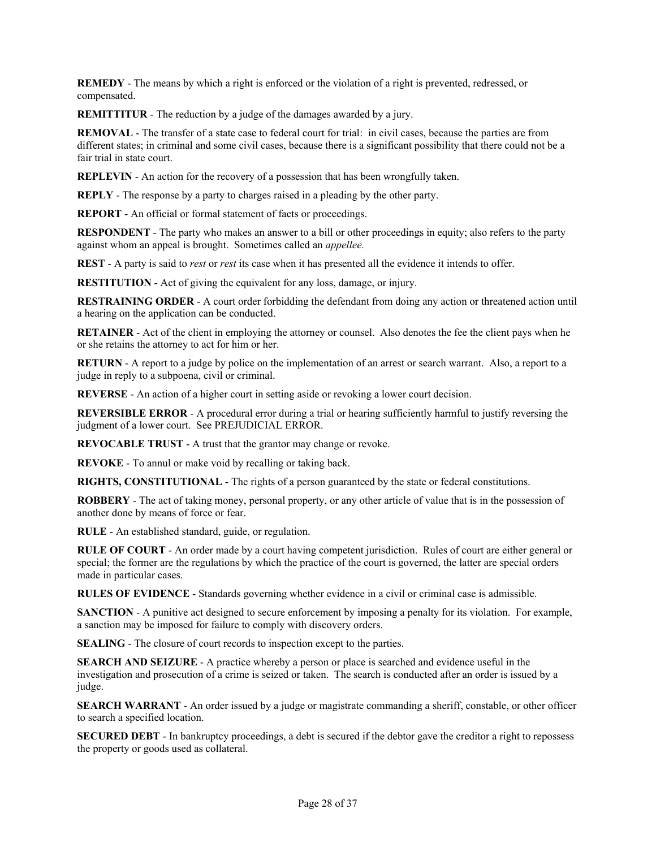**REMEDY** - The means by which a right is enforced or the violation of a right is prevented, redressed, or compensated.

**REMITTITUR** - The reduction by a judge of the damages awarded by a jury.

**REMOVAL** - The transfer of a state case to federal court for trial: in civil cases, because the parties are from different states; in criminal and some civil cases, because there is a significant possibility that there could not be a fair trial in state court.

**REPLEVIN** - An action for the recovery of a possession that has been wrongfully taken.

**REPLY** - The response by a party to charges raised in a pleading by the other party.

**REPORT** - An official or formal statement of facts or proceedings.

**RESPONDENT** - The party who makes an answer to a bill or other proceedings in equity; also refers to the party against whom an appeal is brought. Sometimes called an *appellee.* 

**REST** - A party is said to *rest* or *rest* its case when it has presented all the evidence it intends to offer.

**RESTITUTION** - Act of giving the equivalent for any loss, damage, or injury.

**RESTRAINING ORDER** - A court order forbidding the defendant from doing any action or threatened action until a hearing on the application can be conducted.

**RETAINER** - Act of the client in employing the attorney or counsel. Also denotes the fee the client pays when he or she retains the attorney to act for him or her.

**RETURN** - A report to a judge by police on the implementation of an arrest or search warrant. Also, a report to a judge in reply to a subpoena, civil or criminal.

**REVERSE** - An action of a higher court in setting aside or revoking a lower court decision.

**REVERSIBLE ERROR** - A procedural error during a trial or hearing sufficiently harmful to justify reversing the judgment of a lower court. See PREJUDICIAL ERROR.

**REVOCABLE TRUST** - A trust that the grantor may change or revoke.

**REVOKE** - To annul or make void by recalling or taking back.

**RIGHTS, CONSTITUTIONAL** - The rights of a person guaranteed by the state or federal constitutions.

**ROBBERY** - The act of taking money, personal property, or any other article of value that is in the possession of another done by means of force or fear.

**RULE** - An established standard, guide, or regulation.

**RULE OF COURT** - An order made by a court having competent jurisdiction. Rules of court are either general or special; the former are the regulations by which the practice of the court is governed, the latter are special orders made in particular cases.

**RULES OF EVIDENCE** - Standards governing whether evidence in a civil or criminal case is admissible.

**SANCTION** - A punitive act designed to secure enforcement by imposing a penalty for its violation. For example, a sanction may be imposed for failure to comply with discovery orders.

**SEALING** - The closure of court records to inspection except to the parties.

**SEARCH AND SEIZURE** - A practice whereby a person or place is searched and evidence useful in the investigation and prosecution of a crime is seized or taken. The search is conducted after an order is issued by a judge.

**SEARCH WARRANT** - An order issued by a judge or magistrate commanding a sheriff, constable, or other officer to search a specified location.

**SECURED DEBT** - In bankruptcy proceedings, a debt is secured if the debtor gave the creditor a right to repossess the property or goods used as collateral.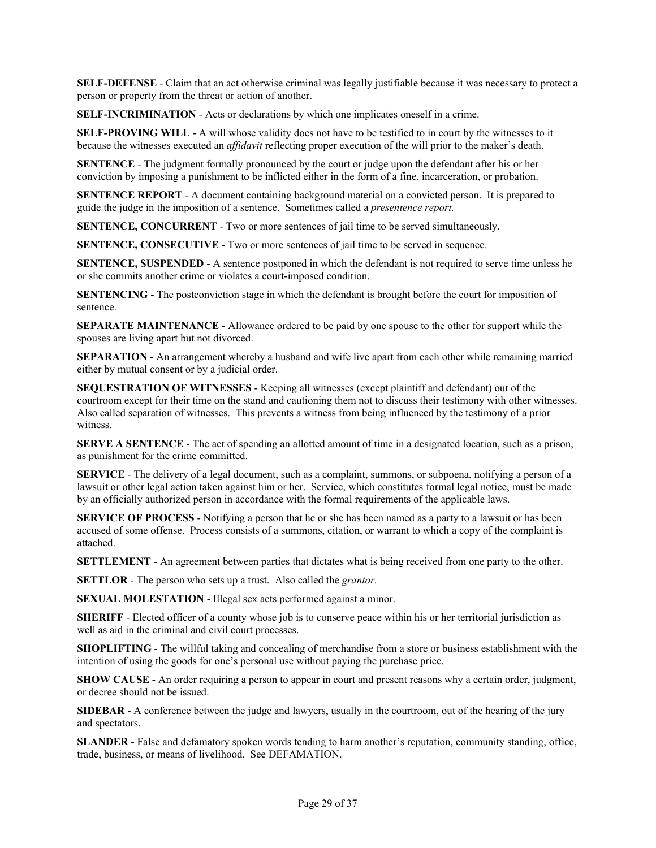**SELF-DEFENSE** - Claim that an act otherwise criminal was legally justifiable because it was necessary to protect a person or property from the threat or action of another.

**SELF-INCRIMINATION** - Acts or declarations by which one implicates oneself in a crime.

**SELF-PROVING WILL** - A will whose validity does not have to be testified to in court by the witnesses to it because the witnesses executed an *affidavit* reflecting proper execution of the will prior to the maker's death.

**SENTENCE** - The judgment formally pronounced by the court or judge upon the defendant after his or her conviction by imposing a punishment to be inflicted either in the form of a fine, incarceration, or probation.

**SENTENCE REPORT** - A document containing background material on a convicted person. It is prepared to guide the judge in the imposition of a sentence. Sometimes called a *presentence report.* 

**SENTENCE, CONCURRENT** - Two or more sentences of jail time to be served simultaneously.

**SENTENCE, CONSECUTIVE** - Two or more sentences of jail time to be served in sequence.

**SENTENCE, SUSPENDED** - A sentence postponed in which the defendant is not required to serve time unless he or she commits another crime or violates a court-imposed condition.

**SENTENCING** - The postconviction stage in which the defendant is brought before the court for imposition of sentence.

**SEPARATE MAINTENANCE** - Allowance ordered to be paid by one spouse to the other for support while the spouses are living apart but not divorced.

**SEPARATION** - An arrangement whereby a husband and wife live apart from each other while remaining married either by mutual consent or by a judicial order.

**SEQUESTRATION OF WITNESSES** - Keeping all witnesses (except plaintiff and defendant) out of the courtroom except for their time on the stand and cautioning them not to discuss their testimony with other witnesses. Also called separation of witnesses. This prevents a witness from being influenced by the testimony of a prior witness.

**SERVE A SENTENCE** - The act of spending an allotted amount of time in a designated location, such as a prison, as punishment for the crime committed.

**SERVICE** - The delivery of a legal document, such as a complaint, summons, or subpoena, notifying a person of a lawsuit or other legal action taken against him or her. Service, which constitutes formal legal notice, must be made by an officially authorized person in accordance with the formal requirements of the applicable laws.

**SERVICE OF PROCESS** - Notifying a person that he or she has been named as a party to a lawsuit or has been accused of some offense. Process consists of a summons, citation, or warrant to which a copy of the complaint is attached.

**SETTLEMENT** - An agreement between parties that dictates what is being received from one party to the other.

**SETTLOR** - The person who sets up a trust. Also called the *grantor.* 

**SEXUAL MOLESTATION** - Illegal sex acts performed against a minor.

**SHERIFF** - Elected officer of a county whose job is to conserve peace within his or her territorial jurisdiction as well as aid in the criminal and civil court processes.

**SHOPLIFTING** - The willful taking and concealing of merchandise from a store or business establishment with the intention of using the goods for one's personal use without paying the purchase price.

**SHOW CAUSE** - An order requiring a person to appear in court and present reasons why a certain order, judgment, or decree should not be issued.

**SIDEBAR** - A conference between the judge and lawyers, usually in the courtroom, out of the hearing of the jury and spectators.

**SLANDER** - False and defamatory spoken words tending to harm another's reputation, community standing, office, trade, business, or means of livelihood. See DEFAMATION.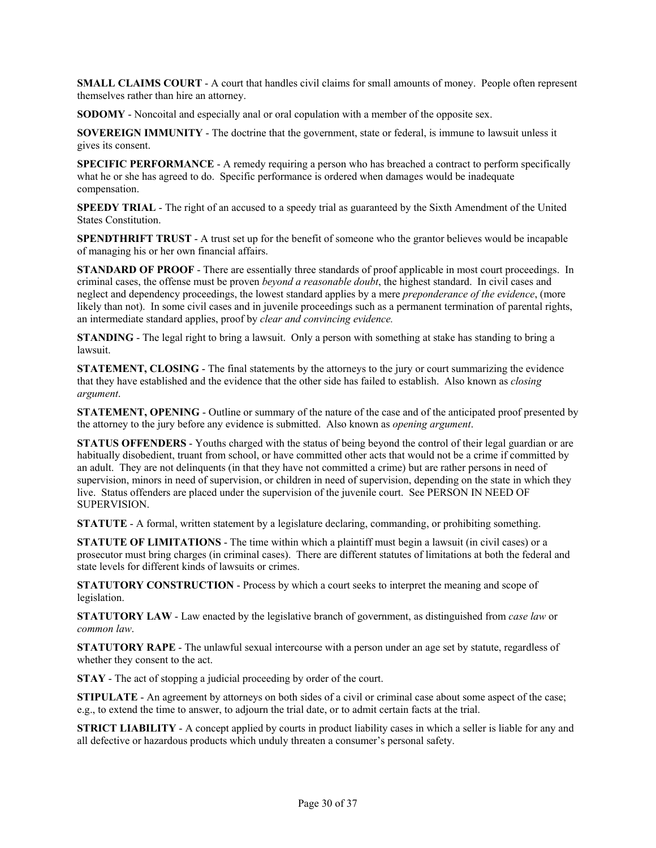**SMALL CLAIMS COURT** - A court that handles civil claims for small amounts of money. People often represent themselves rather than hire an attorney.

**SODOMY** - Noncoital and especially anal or oral copulation with a member of the opposite sex.

**SOVEREIGN IMMUNITY** - The doctrine that the government, state or federal, is immune to lawsuit unless it gives its consent.

**SPECIFIC PERFORMANCE** - A remedy requiring a person who has breached a contract to perform specifically what he or she has agreed to do. Specific performance is ordered when damages would be inadequate compensation.

**SPEEDY TRIAL** - The right of an accused to a speedy trial as guaranteed by the Sixth Amendment of the United States Constitution.

**SPENDTHRIFT TRUST** - A trust set up for the benefit of someone who the grantor believes would be incapable of managing his or her own financial affairs.

**STANDARD OF PROOF** - There are essentially three standards of proof applicable in most court proceedings. In criminal cases, the offense must be proven *beyond a reasonable doubt*, the highest standard. In civil cases and neglect and dependency proceedings, the lowest standard applies by a mere *preponderance of the evidence*, (more likely than not). In some civil cases and in juvenile proceedings such as a permanent termination of parental rights, an intermediate standard applies, proof by *clear and convincing evidence.* 

**STANDING** - The legal right to bring a lawsuit. Only a person with something at stake has standing to bring a lawsuit.

**STATEMENT, CLOSING** - The final statements by the attorneys to the jury or court summarizing the evidence that they have established and the evidence that the other side has failed to establish. Also known as *closing argument*.

**STATEMENT, OPENING** - Outline or summary of the nature of the case and of the anticipated proof presented by the attorney to the jury before any evidence is submitted. Also known as *opening argument*.

**STATUS OFFENDERS** - Youths charged with the status of being beyond the control of their legal guardian or are habitually disobedient, truant from school, or have committed other acts that would not be a crime if committed by an adult. They are not delinquents (in that they have not committed a crime) but are rather persons in need of supervision, minors in need of supervision, or children in need of supervision, depending on the state in which they live. Status offenders are placed under the supervision of the juvenile court. See PERSON IN NEED OF SUPERVISION.

**STATUTE** - A formal, written statement by a legislature declaring, commanding, or prohibiting something.

**STATUTE OF LIMITATIONS** - The time within which a plaintiff must begin a lawsuit (in civil cases) or a prosecutor must bring charges (in criminal cases). There are different statutes of limitations at both the federal and state levels for different kinds of lawsuits or crimes.

**STATUTORY CONSTRUCTION** - Process by which a court seeks to interpret the meaning and scope of legislation.

**STATUTORY LAW** - Law enacted by the legislative branch of government, as distinguished from *case law* or *common law*.

**STATUTORY RAPE** - The unlawful sexual intercourse with a person under an age set by statute, regardless of whether they consent to the act.

**STAY** - The act of stopping a judicial proceeding by order of the court.

**STIPULATE** - An agreement by attorneys on both sides of a civil or criminal case about some aspect of the case; e.g., to extend the time to answer, to adjourn the trial date, or to admit certain facts at the trial.

**STRICT LIABILITY** - A concept applied by courts in product liability cases in which a seller is liable for any and all defective or hazardous products which unduly threaten a consumer's personal safety.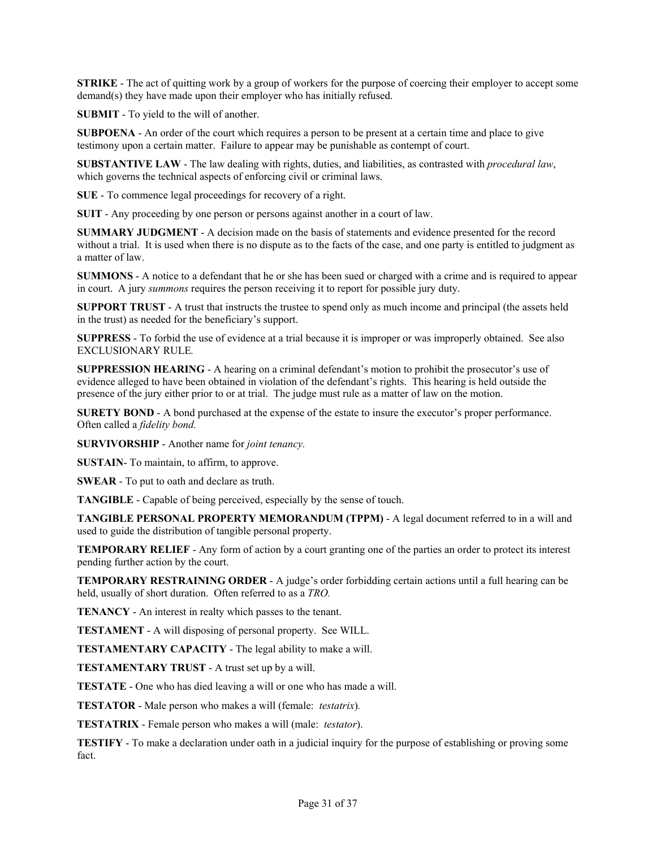**STRIKE** - The act of quitting work by a group of workers for the purpose of coercing their employer to accept some demand(s) they have made upon their employer who has initially refused.

**SUBMIT** - To yield to the will of another.

**SUBPOENA** - An order of the court which requires a person to be present at a certain time and place to give testimony upon a certain matter. Failure to appear may be punishable as contempt of court.

**SUBSTANTIVE LAW** - The law dealing with rights, duties, and liabilities, as contrasted with *procedural law*, which governs the technical aspects of enforcing civil or criminal laws.

**SUE** - To commence legal proceedings for recovery of a right.

**SUIT** - Any proceeding by one person or persons against another in a court of law.

**SUMMARY JUDGMENT** - A decision made on the basis of statements and evidence presented for the record without a trial. It is used when there is no dispute as to the facts of the case, and one party is entitled to judgment as a matter of law.

**SUMMONS** - A notice to a defendant that he or she has been sued or charged with a crime and is required to appear in court. A jury *summons* requires the person receiving it to report for possible jury duty.

**SUPPORT TRUST** - A trust that instructs the trustee to spend only as much income and principal (the assets held in the trust) as needed for the beneficiary's support.

**SUPPRESS** - To forbid the use of evidence at a trial because it is improper or was improperly obtained. See also EXCLUSIONARY RULE*.* 

**SUPPRESSION HEARING** - A hearing on a criminal defendant's motion to prohibit the prosecutor's use of evidence alleged to have been obtained in violation of the defendant's rights. This hearing is held outside the presence of the jury either prior to or at trial. The judge must rule as a matter of law on the motion.

**SURETY BOND** - A bond purchased at the expense of the estate to insure the executor's proper performance. Often called a *fidelity bond.* 

**SURVIVORSHIP** - Another name for *joint tenancy.* 

**SUSTAIN**- To maintain, to affirm, to approve.

**SWEAR** - To put to oath and declare as truth.

**TANGIBLE** - Capable of being perceived, especially by the sense of touch.

**TANGIBLE PERSONAL PROPERTY MEMORANDUM (TPPM)** - A legal document referred to in a will and used to guide the distribution of tangible personal property.

**TEMPORARY RELIEF** - Any form of action by a court granting one of the parties an order to protect its interest pending further action by the court.

**TEMPORARY RESTRAINING ORDER** - A judge's order forbidding certain actions until a full hearing can be held, usually of short duration. Often referred to as a *TRO.* 

**TENANCY** - An interest in realty which passes to the tenant.

**TESTAMENT** - A will disposing of personal property. See WILL.

**TESTAMENTARY CAPACITY** - The legal ability to make a will.

**TESTAMENTARY TRUST** - A trust set up by a will.

**TESTATE** - One who has died leaving a will or one who has made a will.

**TESTATOR** - Male person who makes a will (female: *testatrix*)*.* 

**TESTATRIX** - Female person who makes a will (male: *testator*).

**TESTIFY** - To make a declaration under oath in a judicial inquiry for the purpose of establishing or proving some fact.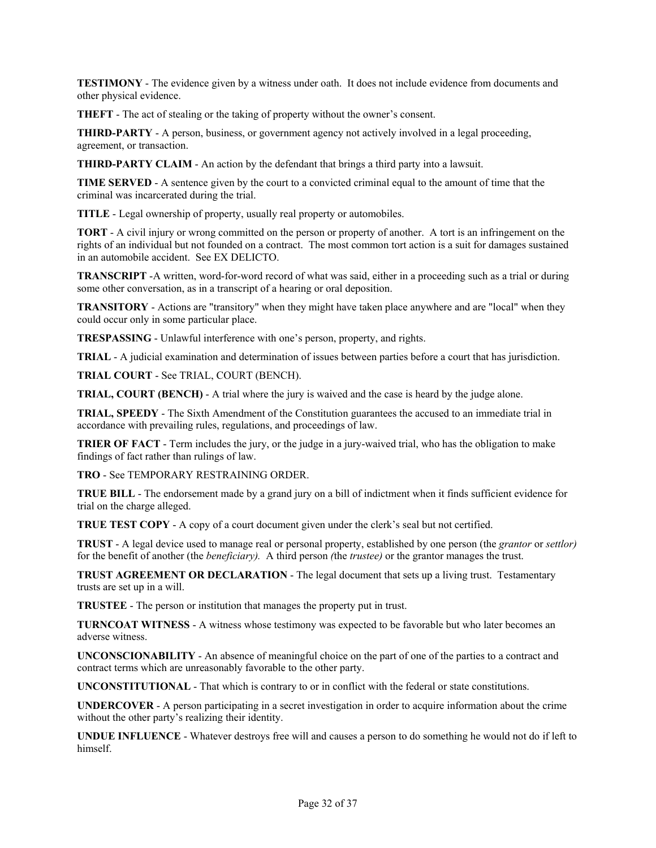**TESTIMONY** - The evidence given by a witness under oath. It does not include evidence from documents and other physical evidence.

**THEFT** - The act of stealing or the taking of property without the owner's consent.

**THIRD-PARTY** - A person, business, or government agency not actively involved in a legal proceeding, agreement, or transaction.

**THIRD-PARTY CLAIM** - An action by the defendant that brings a third party into a lawsuit.

**TIME SERVED** - A sentence given by the court to a convicted criminal equal to the amount of time that the criminal was incarcerated during the trial.

**TITLE** - Legal ownership of property, usually real property or automobiles.

**TORT** - A civil injury or wrong committed on the person or property of another. A tort is an infringement on the rights of an individual but not founded on a contract. The most common tort action is a suit for damages sustained in an automobile accident. See EX DELICTO.

**TRANSCRIPT** -A written, word-for-word record of what was said, either in a proceeding such as a trial or during some other conversation, as in a transcript of a hearing or oral deposition.

**TRANSITORY** - Actions are "transitory" when they might have taken place anywhere and are "local" when they could occur only in some particular place.

**TRESPASSING** - Unlawful interference with one's person, property, and rights.

**TRIAL** - A judicial examination and determination of issues between parties before a court that has jurisdiction.

**TRIAL COURT** - See TRIAL, COURT (BENCH).

**TRIAL, COURT (BENCH)** - A trial where the jury is waived and the case is heard by the judge alone.

**TRIAL, SPEEDY** - The Sixth Amendment of the Constitution guarantees the accused to an immediate trial in accordance with prevailing rules, regulations, and proceedings of law.

**TRIER OF FACT** - Term includes the jury, or the judge in a jury-waived trial, who has the obligation to make findings of fact rather than rulings of law.

**TRO** - See TEMPORARY RESTRAINING ORDER.

**TRUE BILL** - The endorsement made by a grand jury on a bill of indictment when it finds sufficient evidence for trial on the charge alleged.

**TRUE TEST COPY** - A copy of a court document given under the clerk's seal but not certified.

**TRUST** - A legal device used to manage real or personal property, established by one person (the *grantor* or *settlor)*  for the benefit of another (the *beneficiary).* A third person *(*the *trustee)* or the grantor manages the trust.

**TRUST AGREEMENT OR DECLARATION - The legal document that sets up a living trust. Testamentary** trusts are set up in a will.

**TRUSTEE** - The person or institution that manages the property put in trust.

**TURNCOAT WITNESS** - A witness whose testimony was expected to be favorable but who later becomes an adverse witness.

**UNCONSCIONABILITY** - An absence of meaningful choice on the part of one of the parties to a contract and contract terms which are unreasonably favorable to the other party.

**UNCONSTITUTIONAL** - That which is contrary to or in conflict with the federal or state constitutions.

**UNDERCOVER** - A person participating in a secret investigation in order to acquire information about the crime without the other party's realizing their identity.

**UNDUE INFLUENCE** - Whatever destroys free will and causes a person to do something he would not do if left to himself.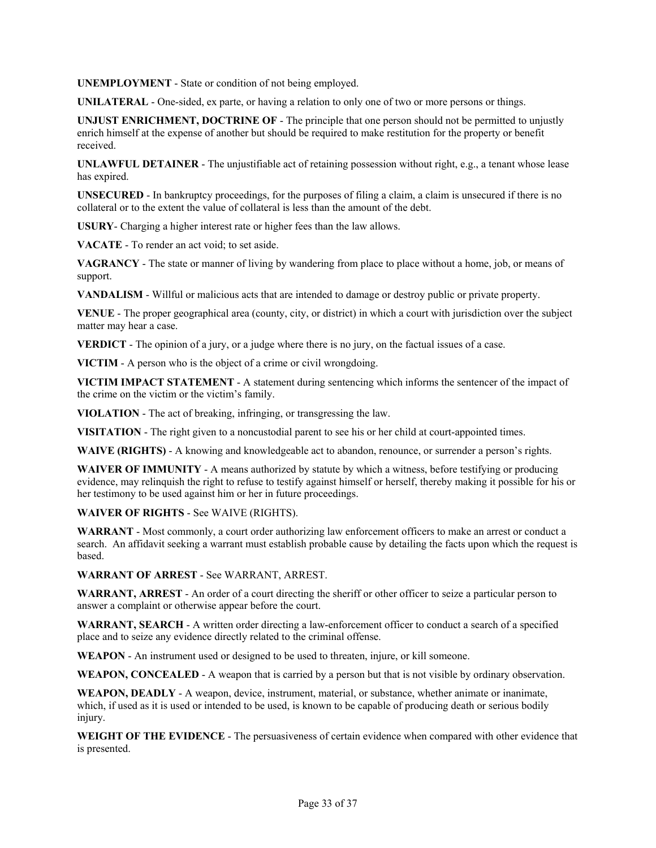**UNEMPLOYMENT** - State or condition of not being employed.

**UNILATERAL** - One-sided, ex parte, or having a relation to only one of two or more persons or things.

**UNJUST ENRICHMENT, DOCTRINE OF** - The principle that one person should not be permitted to unjustly enrich himself at the expense of another but should be required to make restitution for the property or benefit received.

**UNLAWFUL DETAINER** - The unjustifiable act of retaining possession without right, e.g., a tenant whose lease has expired.

**UNSECURED** - In bankruptcy proceedings, for the purposes of filing a claim, a claim is unsecured if there is no collateral or to the extent the value of collateral is less than the amount of the debt.

**USURY**- Charging a higher interest rate or higher fees than the law allows.

**VACATE** - To render an act void; to set aside.

**VAGRANCY** - The state or manner of living by wandering from place to place without a home, job, or means of support.

**VANDALISM** - Willful or malicious acts that are intended to damage or destroy public or private property.

**VENUE** - The proper geographical area (county, city, or district) in which a court with jurisdiction over the subject matter may hear a case.

**VERDICT** - The opinion of a jury, or a judge where there is no jury, on the factual issues of a case.

**VICTIM** - A person who is the object of a crime or civil wrongdoing.

**VICTIM IMPACT STATEMENT** - A statement during sentencing which informs the sentencer of the impact of the crime on the victim or the victim's family.

**VIOLATION** - The act of breaking, infringing, or transgressing the law.

**VISITATION** - The right given to a noncustodial parent to see his or her child at court-appointed times.

**WAIVE (RIGHTS)** - A knowing and knowledgeable act to abandon, renounce, or surrender a person's rights.

**WAIVER OF IMMUNITY** - A means authorized by statute by which a witness, before testifying or producing evidence, may relinquish the right to refuse to testify against himself or herself, thereby making it possible for his or her testimony to be used against him or her in future proceedings.

**WAIVER OF RIGHTS** - See WAIVE (RIGHTS).

**WARRANT** - Most commonly, a court order authorizing law enforcement officers to make an arrest or conduct a search. An affidavit seeking a warrant must establish probable cause by detailing the facts upon which the request is based.

**WARRANT OF ARREST** - See WARRANT, ARREST.

**WARRANT, ARREST** - An order of a court directing the sheriff or other officer to seize a particular person to answer a complaint or otherwise appear before the court.

**WARRANT, SEARCH** - A written order directing a law-enforcement officer to conduct a search of a specified place and to seize any evidence directly related to the criminal offense.

**WEAPON** - An instrument used or designed to be used to threaten, injure, or kill someone.

**WEAPON, CONCEALED** - A weapon that is carried by a person but that is not visible by ordinary observation.

**WEAPON, DEADLY** - A weapon, device, instrument, material, or substance, whether animate or inanimate, which, if used as it is used or intended to be used, is known to be capable of producing death or serious bodily injury.

**WEIGHT OF THE EVIDENCE** - The persuasiveness of certain evidence when compared with other evidence that is presented.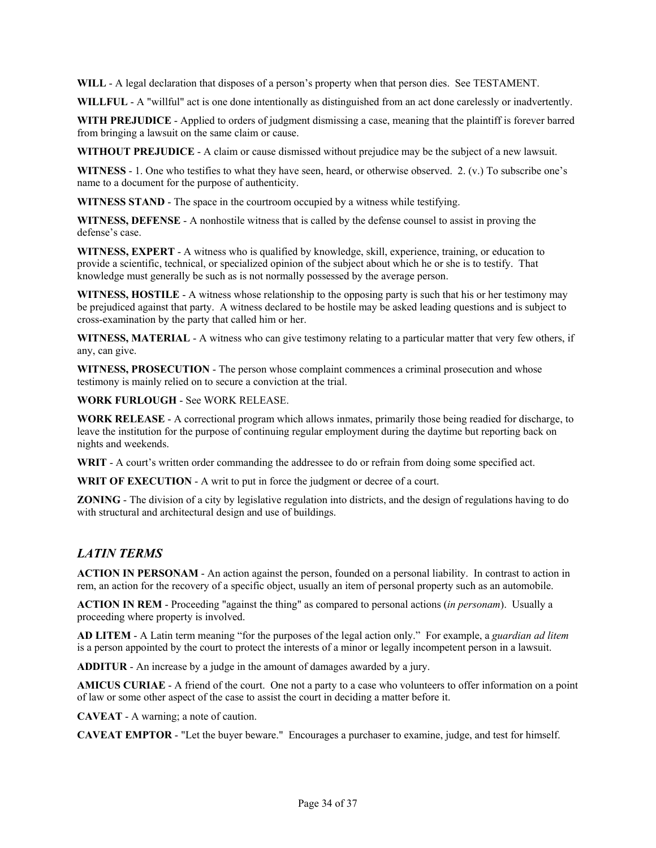**WILL** - A legal declaration that disposes of a person's property when that person dies. See TESTAMENT.

**WILLFUL** - A "willful" act is one done intentionally as distinguished from an act done carelessly or inadvertently.

**WITH PREJUDICE** - Applied to orders of judgment dismissing a case, meaning that the plaintiff is forever barred from bringing a lawsuit on the same claim or cause.

**WITHOUT PREJUDICE** - A claim or cause dismissed without prejudice may be the subject of a new lawsuit.

**WITNESS** - 1. One who testifies to what they have seen, heard, or otherwise observed. 2. (v.) To subscribe one's name to a document for the purpose of authenticity.

**WITNESS STAND** - The space in the courtroom occupied by a witness while testifying.

**WITNESS, DEFENSE** - A nonhostile witness that is called by the defense counsel to assist in proving the defense's case.

**WITNESS, EXPERT** - A witness who is qualified by knowledge, skill, experience, training, or education to provide a scientific, technical, or specialized opinion of the subject about which he or she is to testify. That knowledge must generally be such as is not normally possessed by the average person.

**WITNESS, HOSTILE** - A witness whose relationship to the opposing party is such that his or her testimony may be prejudiced against that party. A witness declared to be hostile may be asked leading questions and is subject to cross-examination by the party that called him or her.

**WITNESS, MATERIAL** - A witness who can give testimony relating to a particular matter that very few others, if any, can give.

**WITNESS, PROSECUTION** - The person whose complaint commences a criminal prosecution and whose testimony is mainly relied on to secure a conviction at the trial.

**WORK FURLOUGH** - See WORK RELEASE.

**WORK RELEASE** - A correctional program which allows inmates, primarily those being readied for discharge, to leave the institution for the purpose of continuing regular employment during the daytime but reporting back on nights and weekends.

**WRIT** - A court's written order commanding the addressee to do or refrain from doing some specified act.

**WRIT OF EXECUTION** - A writ to put in force the judgment or decree of a court.

**ZONING** - The division of a city by legislative regulation into districts, and the design of regulations having to do with structural and architectural design and use of buildings.

## *LATIN TERMS*

**ACTION IN PERSONAM** - An action against the person, founded on a personal liability. In contrast to action in rem, an action for the recovery of a specific object, usually an item of personal property such as an automobile.

**ACTION IN REM** - Proceeding "against the thing" as compared to personal actions (*in personam*). Usually a proceeding where property is involved.

**AD LITEM** - A Latin term meaning "for the purposes of the legal action only." For example, a *guardian ad litem*  is a person appointed by the court to protect the interests of a minor or legally incompetent person in a lawsuit.

**ADDITUR** - An increase by a judge in the amount of damages awarded by a jury.

**AMICUS CURIAE** - A friend of the court. One not a party to a case who volunteers to offer information on a point of law or some other aspect of the case to assist the court in deciding a matter before it.

**CAVEAT** - A warning; a note of caution.

**CAVEAT EMPTOR** - "Let the buyer beware." Encourages a purchaser to examine, judge, and test for himself.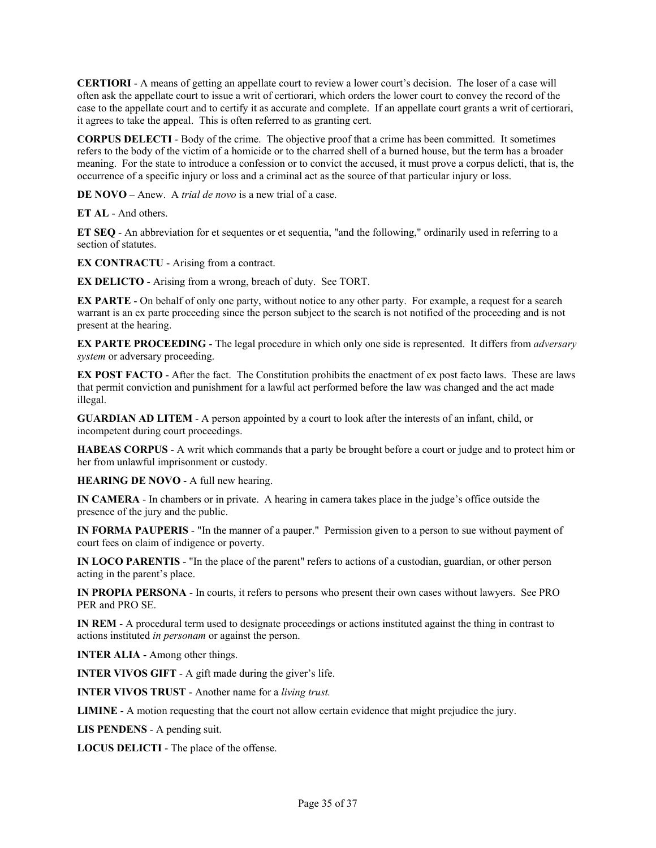**CERTIORI** - A means of getting an appellate court to review a lower court's decision. The loser of a case will often ask the appellate court to issue a writ of certiorari, which orders the lower court to convey the record of the case to the appellate court and to certify it as accurate and complete. If an appellate court grants a writ of certiorari, it agrees to take the appeal. This is often referred to as granting cert.

**CORPUS DELECTI** - Body of the crime. The objective proof that a crime has been committed. It sometimes refers to the body of the victim of a homicide or to the charred shell of a burned house, but the term has a broader meaning. For the state to introduce a confession or to convict the accused, it must prove a corpus delicti, that is, the occurrence of a specific injury or loss and a criminal act as the source of that particular injury or loss.

**DE NOVO** – Anew. A *trial de novo* is a new trial of a case.

**ET AL** - And others.

**ET SEQ** - An abbreviation for et sequentes or et sequentia, "and the following," ordinarily used in referring to a section of statutes.

**EX CONTRACTU** - Arising from a contract.

**EX DELICTO** - Arising from a wrong, breach of duty. See TORT.

**EX PARTE** - On behalf of only one party, without notice to any other party. For example, a request for a search warrant is an ex parte proceeding since the person subject to the search is not notified of the proceeding and is not present at the hearing.

**EX PARTE PROCEEDING** - The legal procedure in which only one side is represented. It differs from *adversary system* or adversary proceeding.

**EX POST FACTO** - After the fact. The Constitution prohibits the enactment of ex post facto laws. These are laws that permit conviction and punishment for a lawful act performed before the law was changed and the act made illegal.

**GUARDIAN AD LITEM** - A person appointed by a court to look after the interests of an infant, child, or incompetent during court proceedings.

**HABEAS CORPUS** - A writ which commands that a party be brought before a court or judge and to protect him or her from unlawful imprisonment or custody.

**HEARING DE NOVO** - A full new hearing.

**IN CAMERA** - In chambers or in private. A hearing in camera takes place in the judge's office outside the presence of the jury and the public.

**IN FORMA PAUPERIS** - "In the manner of a pauper." Permission given to a person to sue without payment of court fees on claim of indigence or poverty.

**IN LOCO PARENTIS** - "In the place of the parent" refers to actions of a custodian, guardian, or other person acting in the parent's place.

**IN PROPIA PERSONA** - In courts, it refers to persons who present their own cases without lawyers. See PRO PER and PRO SE.

**IN REM** - A procedural term used to designate proceedings or actions instituted against the thing in contrast to actions instituted *in personam* or against the person.

**INTER ALIA** - Among other things.

**INTER VIVOS GIFT** - A gift made during the giver's life.

**INTER VIVOS TRUST** - Another name for a *living trust.* 

**LIMINE** - A motion requesting that the court not allow certain evidence that might prejudice the jury.

**LIS PENDENS** - A pending suit.

**LOCUS DELICTI** - The place of the offense.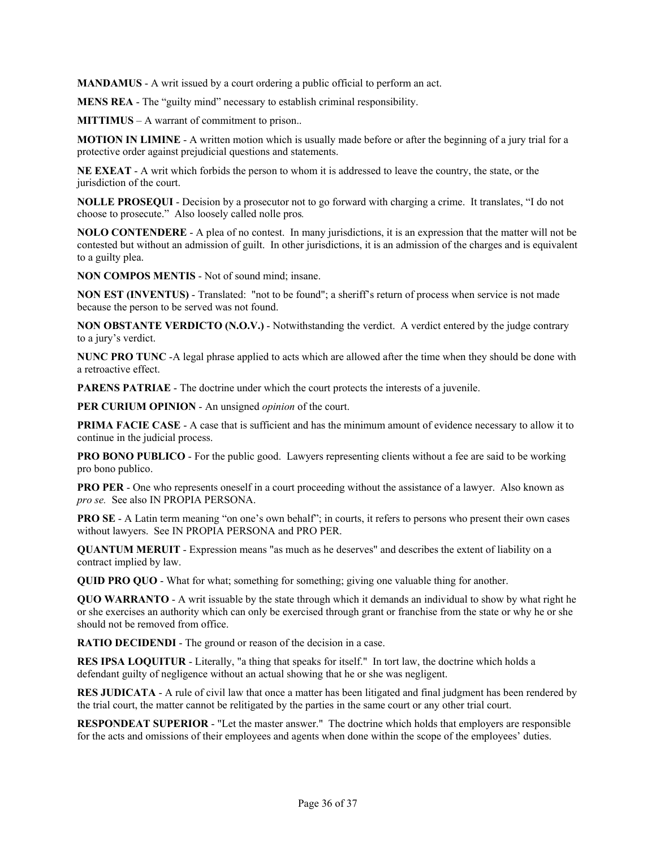**MANDAMUS** - A writ issued by a court ordering a public official to perform an act.

**MENS REA** - The "guilty mind" necessary to establish criminal responsibility.

**MITTIMUS** – A warrant of commitment to prison..

**MOTION IN LIMINE** - A written motion which is usually made before or after the beginning of a jury trial for a protective order against prejudicial questions and statements.

**NE EXEAT** - A writ which forbids the person to whom it is addressed to leave the country, the state, or the jurisdiction of the court.

**NOLLE PROSEQUI** - Decision by a prosecutor not to go forward with charging a crime. It translates, "I do not choose to prosecute." Also loosely called nolle pros*.* 

**NOLO CONTENDERE** - A plea of no contest. In many jurisdictions, it is an expression that the matter will not be contested but without an admission of guilt. In other jurisdictions, it is an admission of the charges and is equivalent to a guilty plea.

**NON COMPOS MENTIS** - Not of sound mind; insane.

**NON EST (INVENTUS)** - Translated: "not to be found"; a sheriff's return of process when service is not made because the person to be served was not found.

**NON OBSTANTE VERDICTO (N.O.V.)** - Notwithstanding the verdict. A verdict entered by the judge contrary to a jury's verdict.

**NUNC PRO TUNC** -A legal phrase applied to acts which are allowed after the time when they should be done with a retroactive effect.

**PARENS PATRIAE** - The doctrine under which the court protects the interests of a juvenile.

**PER CURIUM OPINION** - An unsigned *opinion* of the court.

**PRIMA FACIE CASE** - A case that is sufficient and has the minimum amount of evidence necessary to allow it to continue in the judicial process.

**PRO BONO PUBLICO** - For the public good. Lawyers representing clients without a fee are said to be working pro bono publico.

**PRO PER** - One who represents oneself in a court proceeding without the assistance of a lawyer. Also known as *pro se.* See also IN PROPIA PERSONA.

**PRO SE** - A Latin term meaning "on one's own behalf"; in courts, it refers to persons who present their own cases without lawyers. See IN PROPIA PERSONA and PRO PER.

**QUANTUM MERUIT** - Expression means "as much as he deserves" and describes the extent of liability on a contract implied by law.

**QUID PRO QUO** - What for what; something for something; giving one valuable thing for another.

**QUO WARRANTO** - A writ issuable by the state through which it demands an individual to show by what right he or she exercises an authority which can only be exercised through grant or franchise from the state or why he or she should not be removed from office.

**RATIO DECIDENDI** - The ground or reason of the decision in a case.

**RES IPSA LOQUITUR** - Literally, "a thing that speaks for itself." In tort law, the doctrine which holds a defendant guilty of negligence without an actual showing that he or she was negligent.

**RES JUDICATA** - A rule of civil law that once a matter has been litigated and final judgment has been rendered by the trial court, the matter cannot be relitigated by the parties in the same court or any other trial court.

**RESPONDEAT SUPERIOR** - "Let the master answer." The doctrine which holds that employers are responsible for the acts and omissions of their employees and agents when done within the scope of the employees' duties.